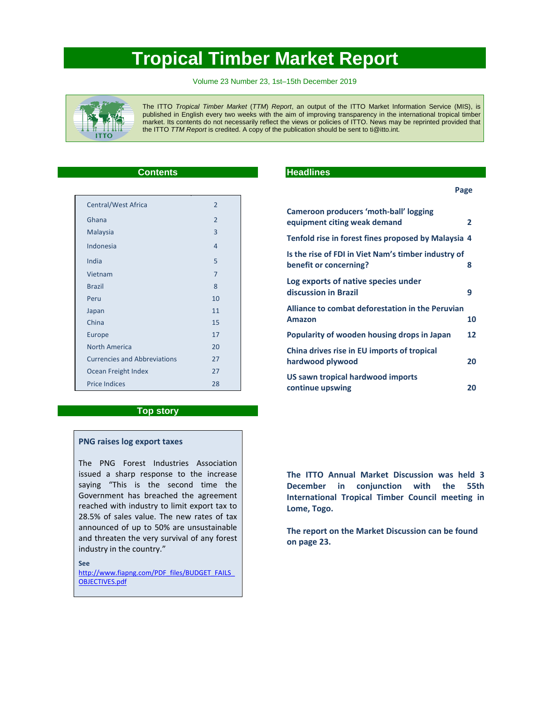# **Tropical Timber Market Report**

Volume 23 Number 23, 1st–15th December 2019



The ITTO *Tropical Timber Market* (*TTM*) *Report*, an output of the ITTO Market Information Service (MIS), is published in English every two weeks with the aim of improving transparency in the international tropical timber market. Its contents do not necessarily reflect the views or policies of ITTO. News may be reprinted provided that the ITTO *TTM Report* is credited. A copy of the publication should be sent to ti@itto.int.

### **Contents**

| Central/West Africa                 | $\overline{2}$ |
|-------------------------------------|----------------|
| Ghana                               | $\mathfrak{D}$ |
| Malaysia                            | 3              |
| Indonesia                           | 4              |
| India                               | 5              |
| Vietnam                             | 7              |
| <b>Brazil</b>                       | 8              |
| Peru                                | 10             |
| Japan                               | 11             |
| China                               | 15             |
| Europe                              | 17             |
| North America                       | 20             |
| <b>Currencies and Abbreviations</b> | 27             |
| Ocean Freight Index                 | 27             |
| <b>Price Indices</b>                | 28             |

### **Top story**

### **PNG raises log export taxes**

The PNG Forest Industries Association issued a sharp response to the increase saying "This is the second time the Government has breached the agreement reached with industry to limit export tax to 28.5% of sales value. The new rates of tax announced of up to 50% are unsustainable and threaten the very survival of any forest industry in the country."

**See**

http://www.fiapng.com/PDF\_files/BUDGET\_FAILS OBJECTIVES.pdf

### **Headlines**

| Cameroon producers 'moth-ball' logging                                        |    |
|-------------------------------------------------------------------------------|----|
| equipment citing weak demand                                                  | 2  |
| Tenfold rise in forest fines proposed by Malaysia 4                           |    |
| Is the rise of FDI in Viet Nam's timber industry of<br>benefit or concerning? | 8  |
| Log exports of native species under<br>discussion in Brazil                   | 9  |
| Alliance to combat deforestation in the Peruvian<br><b>Amazon</b>             | 10 |
| Popularity of wooden housing drops in Japan                                   | 12 |
| China drives rise in EU imports of tropical<br>hardwood plywood               | 20 |
| US sawn tropical hardwood imports<br>continue upswing                         | 20 |

**The ITTO Annual Market Discussion was held 3 December in conjunction with the 55th International Tropical Timber Council meeting in Lome, Togo.**

**The report on the Market Discussion can be found on page 23.**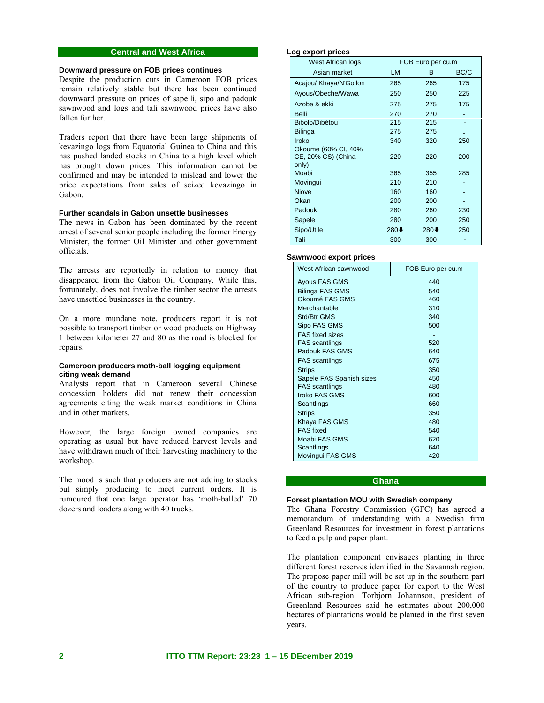### **Central and West Africa**

#### **Downward pressure on FOB prices continues**

Despite the production cuts in Cameroon FOB prices remain relatively stable but there has been continued downward pressure on prices of sapelli, sipo and padouk sawnwood and logs and tali sawnwood prices have also fallen further.

Traders report that there have been large shipments of kevazingo logs from Equatorial Guinea to China and this has pushed landed stocks in China to a high level which has brought down prices. This information cannot be confirmed and may be intended to mislead and lower the price expectations from sales of seized kevazingo in Gabon.

#### **Further scandals in Gabon unsettle businesses**

The news in Gabon has been dominated by the recent arrest of several senior people including the former Energy Minister, the former Oil Minister and other government officials.

The arrests are reportedly in relation to money that disappeared from the Gabon Oil Company. While this, fortunately, does not involve the timber sector the arrests have unsettled businesses in the country.

On a more mundane note, producers report it is not possible to transport timber or wood products on Highway 1 between kilometer 27 and 80 as the road is blocked for repairs.

### **Cameroon producers moth-ball logging equipment citing weak demand**

Analysts report that in Cameroon several Chinese concession holders did not renew their concession agreements citing the weak market conditions in China and in other markets.

However, the large foreign owned companies are operating as usual but have reduced harvest levels and have withdrawn much of their harvesting machinery to the workshop.

The mood is such that producers are not adding to stocks but simply producing to meet current orders. It is rumoured that one large operator has 'moth-balled' 70 dozers and loaders along with 40 trucks.

#### **Log export prices**

| West African logs      | FOB Euro per cu.m |        |      |
|------------------------|-------------------|--------|------|
| Asian market           | <b>LM</b>         | B.     | BC/C |
| Acajou/ Khaya/N'Gollon | 265               | 265    | 175  |
| Ayous/Obeche/Wawa      | 250               | 250    | 225  |
| Azobe & ekki           | 275               | 275    | 175  |
| <b>Belli</b>           | 270               | 270    |      |
| Bibolo/Dibétou         | 215               | 215    |      |
| <b>Bilinga</b>         | 275               | 275    |      |
| Iroko                  | 340               | 320    | 250  |
| Okoume (60% CI, 40%    |                   |        |      |
| CE, 20% CS) (China     | 220               | 220    | 200  |
| only)<br>Moabi         |                   | 355    | 285  |
|                        | 365               |        |      |
| Movingui               | 210               | 210    |      |
| <b>Niove</b>           | 160               | 160    |      |
| Okan                   | 200               | 200    |      |
| Padouk                 | 280               | 260    | 230  |
| Sapele                 | 280               | 200    | 250  |
| Sipo/Utile             | $280+$            | $280+$ | 250  |
| Tali                   | 300               | 300    |      |

#### **Sawnwood export prices**

| West African sawnwood    | FOB Euro per cu.m |
|--------------------------|-------------------|
| Ayous FAS GMS            | 440               |
| Bilinga FAS GMS          | 540               |
| Okoumé FAS GMS           | 460               |
| Merchantable             | 310               |
| Std/Btr GMS              | 340               |
| Sipo FAS GMS             | 500               |
| <b>FAS</b> fixed sizes   |                   |
| <b>FAS</b> scantlings    | 520               |
| Padouk FAS GMS           | 640               |
| <b>FAS</b> scantlings    | 675               |
| <b>Strips</b>            | 350               |
| Sapele FAS Spanish sizes | 450               |
| <b>FAS</b> scantlings    | 480               |
| Iroko FAS GMS            | 600               |
| Scantlings               | 660               |
| <b>Strips</b>            | 350               |
| Khaya FAS GMS            | 480               |
| <b>FAS</b> fixed         | 540               |
| Moabi FAS GMS            | 620               |
| Scantlings               | 640               |
| Movingui FAS GMS         | 420               |

### **Ghana**

### **Forest plantation MOU with Swedish company**

The Ghana Forestry Commission (GFC) has agreed a memorandum of understanding with a Swedish firm Greenland Resources for investment in forest plantations to feed a pulp and paper plant.

The plantation component envisages planting in three different forest reserves identified in the Savannah region. The propose paper mill will be set up in the southern part of the country to produce paper for export to the West African sub-region. Torbjorn Johannson, president of Greenland Resources said he estimates about 200,000 hectares of plantations would be planted in the first seven years.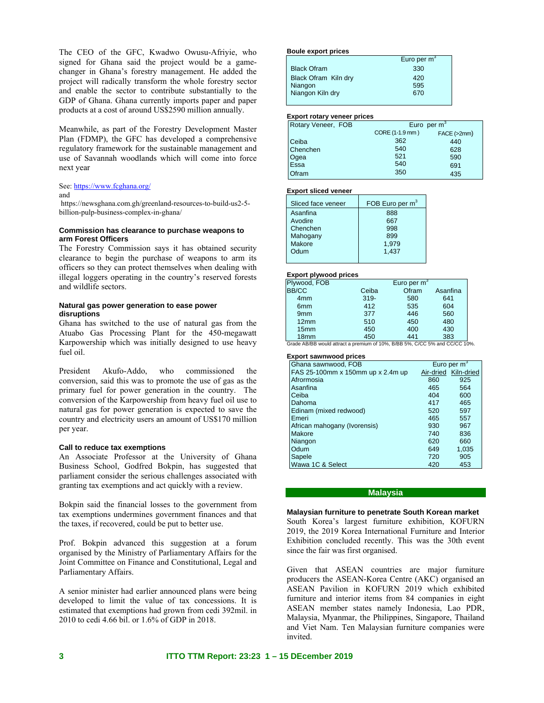The CEO of the GFC, Kwadwo Owusu-Afriyie, who signed for Ghana said the project would be a gamechanger in Ghana's forestry management. He added the project will radically transform the whole forestry sector and enable the sector to contribute substantially to the GDP of Ghana. Ghana currently imports paper and paper products at a cost of around US\$2590 million annually.

Meanwhile, as part of the Forestry Development Master Plan (FDMP), the GFC has developed a comprehensive regulatory framework for the sustainable management and use of Savannah woodlands which will come into force next year

See: https://www.fcghana.org/

#### and

 https://newsghana.com.gh/greenland-resources-to-build-us2-5 billion-pulp-business-complex-in-ghana/

#### **Commission has clearance to purchase weapons to arm Forest Officers**

The Forestry Commission says it has obtained security clearance to begin the purchase of weapons to arm its officers so they can protect themselves when dealing with illegal loggers operating in the country's reserved forests and wildlife sectors.

#### **Natural gas power generation to ease power disruptions**

Ghana has switched to the use of natural gas from the Atuabo Gas Processing Plant for the 450-megawatt Karpowership which was initially designed to use heavy fuel oil.

President Akufo-Addo, who commissioned the conversion, said this was to promote the use of gas as the primary fuel for power generation in the country. The conversion of the Karpowership from heavy fuel oil use to natural gas for power generation is expected to save the country and electricity users an amount of US\$170 million per year.

#### **Call to reduce tax exemptions**

An Associate Professor at the University of Ghana Business School, Godfred Bokpin, has suggested that parliament consider the serious challenges associated with granting tax exemptions and act quickly with a review.

Bokpin said the financial losses to the government from tax exemptions undermines government finances and that the taxes, if recovered, could be put to better use.

Prof. Bokpin advanced this suggestion at a forum organised by the Ministry of Parliamentary Affairs for the Joint Committee on Finance and Constitutional, Legal and Parliamentary Affairs.

A senior minister had earlier announced plans were being developed to limit the value of tax concessions. It is estimated that exemptions had grown from cedi 392mil. in 2010 to cedi 4.66 bil. or 1.6% of GDP in 2018.

#### **Boule export prices**

|                      | Euro per $\overline{m}^3$ |
|----------------------|---------------------------|
| <b>Black Ofram</b>   | 330                       |
| Black Ofram Kiln dry | 420                       |
| Niangon              | 595                       |
| Niangon Kiln dry     | 670                       |
|                      |                           |

| <b>Export rotary veneer prices</b> |                 |             |  |
|------------------------------------|-----------------|-------------|--|
| Rotary Veneer, FOB                 | Euro per $m^3$  |             |  |
|                                    | CORE (1-1.9 mm) | FACE (>2mm) |  |
| Ceiba                              | 362             | 440         |  |
| Chenchen                           | 540             | 628         |  |
| Ogea                               | 521             | 590         |  |
| Essa                               | 540             | 691         |  |
| Ofram                              | 350             | 435         |  |

#### **Export sliced veneer**

| Sliced face veneer | FOB Euro per m <sup>3</sup> |
|--------------------|-----------------------------|
| Asanfina           | 888                         |
| Avodire            | 667                         |
| Chenchen           | 998                         |
| Mahogany           | 899                         |
| Makore             | 1.979                       |
| Odum               | 1.437                       |
|                    |                             |

#### **Export plywood prices**

| Plywood, FOB     |         | Euro per $m3$                       |          |
|------------------|---------|-------------------------------------|----------|
| <b>BB/CC</b>     | Ceiba   | Ofram                               | Asanfina |
| 4 <sub>mm</sub>  | $319 -$ | 580                                 | 641      |
| 6 <sub>mm</sub>  | 412     | 535                                 | 604      |
| 9 <sub>mm</sub>  | 377     | 446                                 | 560      |
| 12mm             | 510     | 450                                 | 480      |
| 15 <sub>mm</sub> | 450     | 400                                 | 430      |
| 18 <sub>mm</sub> | 450     | 441                                 | 383      |
|                  |         | <b>DIDD FALLOIDD FALL LOOKOO 10</b> |          |

Grade AB/BB would attract a premium of 10%, B/BB 5%, C/CC 5% and CC/CC 10%.

#### **Export sawnwood prices**

| Ghana sawnwood, FOB               |     | Euro per $m3$        |
|-----------------------------------|-----|----------------------|
| FAS 25-100mm x 150mm up x 2.4m up |     | Air-dried Kiln-dried |
| Afrormosia                        | 860 | 925                  |
| Asanfina                          | 465 | 564                  |
| Ceiba                             | 404 | 600                  |
| Dahoma                            | 417 | 465                  |
| Edinam (mixed redwood)            | 520 | 597                  |
| Emeri                             | 465 | 557                  |
| African mahogany (Ivorensis)      | 930 | 967                  |
| <b>Makore</b>                     | 740 | 836                  |
| Niangon                           | 620 | 660                  |
| Odum                              | 649 | 1,035                |
| Sapele                            | 720 | 905                  |
| Wawa 1C & Select                  | 420 | 453                  |

#### **Malaysia**

**Malaysian furniture to penetrate South Korean market**  South Korea's largest furniture exhibition, KOFURN 2019, the 2019 Korea International Furniture and Interior Exhibition concluded recently. This was the 30th event since the fair was first organised.

Given that ASEAN countries are major furniture producers the ASEAN-Korea Centre (AKC) organised an ASEAN Pavilion in KOFURN 2019 which exhibited furniture and interior items from 84 companies in eight ASEAN member states namely Indonesia, Lao PDR, Malaysia, Myanmar, the Philippines, Singapore, Thailand and Viet Nam. Ten Malaysian furniture companies were invited.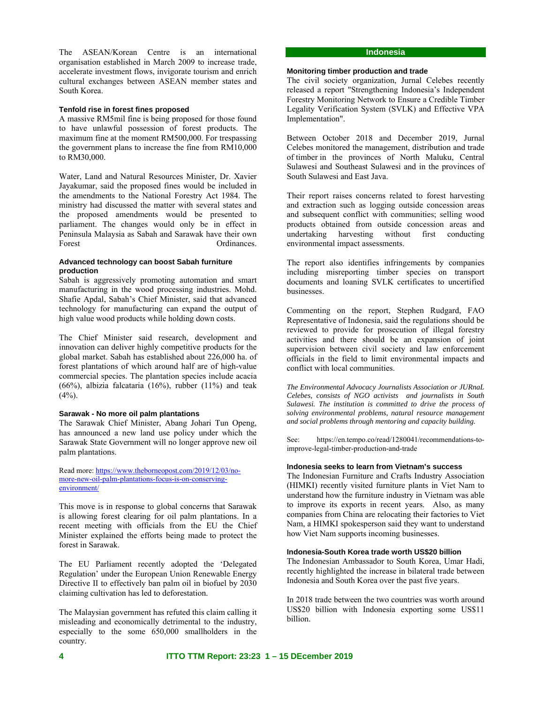The ASEAN/Korean Centre is an international organisation established in March 2009 to increase trade, accelerate investment flows, invigorate tourism and enrich cultural exchanges between ASEAN member states and South Korea.

#### **Tenfold rise in forest fines proposed**

A massive RM5mil fine is being proposed for those found to have unlawful possession of forest products. The maximum fine at the moment RM500,000. For trespassing the government plans to increase the fine from RM10,000 to RM30,000.

Water, Land and Natural Resources Minister, Dr. Xavier Jayakumar, said the proposed fines would be included in the amendments to the National Forestry Act 1984. The ministry had discussed the matter with several states and the proposed amendments would be presented to parliament. The changes would only be in effect in Peninsula Malaysia as Sabah and Sarawak have their own Forest **Ordinances**.

#### **Advanced technology can boost Sabah furniture production**

Sabah is aggressively promoting automation and smart manufacturing in the wood processing industries. Mohd. Shafie Apdal, Sabah's Chief Minister, said that advanced technology for manufacturing can expand the output of high value wood products while holding down costs.

The Chief Minister said research, development and innovation can deliver highly competitive products for the global market. Sabah has established about 226,000 ha. of forest plantations of which around half are of high-value commercial species. The plantation species include acacia (66%), albizia falcataria (16%), rubber (11%) and teak  $(4%).$ 

#### **Sarawak - No more oil palm plantations**

The Sarawak Chief Minister, Abang Johari Tun Openg, has announced a new land use policy under which the Sarawak State Government will no longer approve new oil palm plantations.

Read more: https://www.theborneopost.com/2019/12/03/nomore-new-oil-palm-plantations-focus-is-on-conservingenvironment/

This move is in response to global concerns that Sarawak is allowing forest clearing for oil palm plantations. In a recent meeting with officials from the EU the Chief Minister explained the efforts being made to protect the forest in Sarawak.

The EU Parliament recently adopted the 'Delegated Regulation' under the European Union Renewable Energy Directive II to effectively ban palm oil in biofuel by 2030 claiming cultivation has led to deforestation.

The Malaysian government has refuted this claim calling it misleading and economically detrimental to the industry, especially to the some 650,000 smallholders in the country.

### **Indonesia**

### **Monitoring timber production and trade**

The civil society organization, Jurnal Celebes recently released a report "Strengthening Indonesia's Independent Forestry Monitoring Network to Ensure a Credible Timber Legality Verification System (SVLK) and Effective VPA Implementation".

Between October 2018 and December 2019, Jurnal Celebes monitored the management, distribution and trade of timber in the provinces of North Maluku, Central Sulawesi and Southeast Sulawesi and in the provinces of South Sulawesi and East Java.

Their report raises concerns related to forest harvesting and extraction such as logging outside concession areas and subsequent conflict with communities; selling wood products obtained from outside concession areas and undertaking harvesting without first conducting environmental impact assessments.

The report also identifies infringements by companies including misreporting timber species on transport documents and loaning SVLK certificates to uncertified businesses.

Commenting on the report, Stephen Rudgard, FAO Representative of Indonesia, said the regulations should be reviewed to provide for prosecution of illegal forestry activities and there should be an expansion of joint supervision between civil society and law enforcement officials in the field to limit environmental impacts and conflict with local communities.

*The Environmental Advocacy Journalists Association or JURnaL Celebes, consists of NGO activists and journalists in South Sulawesi. The institution is committed to drive the process of solving environmental problems, natural resource management and social problems through mentoring and capacity building.* 

See: https://en.tempo.co/read/1280041/recommendations-toimprove-legal-timber-production-and-trade

#### **Indonesia seeks to learn from Vietnam's success**

The Indonesian Furniture and Crafts Industry Association (HIMKI) recently visited furniture plants in Viet Nam to understand how the furniture industry in Vietnam was able to improve its exports in recent years. Also, as many companies from China are relocating their factories to Viet Nam, a HIMKI spokesperson said they want to understand how Viet Nam supports incoming businesses.

### **Indonesia-South Korea trade worth US\$20 billion**

The Indonesian Ambassador to South Korea, Umar Hadi, recently highlighted the increase in bilateral trade between Indonesia and South Korea over the past five years.

In 2018 trade between the two countries was worth around US\$20 billion with Indonesia exporting some US\$11 billion.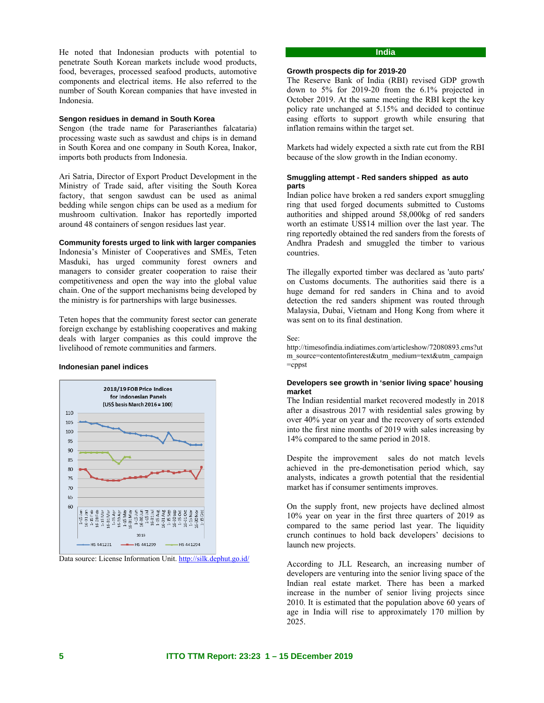He noted that Indonesian products with potential to penetrate South Korean markets include wood products, food, beverages, processed seafood products, automotive components and electrical items. He also referred to the number of South Korean companies that have invested in Indonesia.

### **Sengon residues in demand in South Korea**

Sengon (the trade name for Paraserianthes falcataria) processing waste such as sawdust and chips is in demand in South Korea and one company in South Korea, Inakor, imports both products from Indonesia.

Ari Satria, Director of Export Product Development in the Ministry of Trade said, after visiting the South Korea factory, that sengon sawdust can be used as animal bedding while sengon chips can be used as a medium for mushroom cultivation. Inakor has reportedly imported around 48 containers of sengon residues last year.

#### **Community forests urged to link with larger companies**

Indonesia's Minister of Cooperatives and SMEs, Teten Masduki, has urged community forest owners and managers to consider greater cooperation to raise their competitiveness and open the way into the global value chain. One of the support mechanisms being developed by the ministry is for partnerships with large businesses.

Teten hopes that the community forest sector can generate foreign exchange by establishing cooperatives and making deals with larger companies as this could improve the livelihood of remote communities and farmers.

#### **Indonesian panel indices**



Data source: License Information Unit. http://silk.dephut.go.id/

### **India**

### **Growth prospects dip for 2019-20**

The Reserve Bank of India (RBI) revised GDP growth down to 5% for 2019-20 from the 6.1% projected in October 2019. At the same meeting the RBI kept the key policy rate unchanged at 5.15% and decided to continue easing efforts to support growth while ensuring that inflation remains within the target set.

Markets had widely expected a sixth rate cut from the RBI because of the slow growth in the Indian economy.

#### **Smuggling attempt - Red sanders shipped as auto parts**

Indian police have broken a red sanders export smuggling ring that used forged documents submitted to Customs authorities and shipped around 58,000kg of red sanders worth an estimate US\$14 million over the last year. The ring reportedly obtained the red sanders from the forests of Andhra Pradesh and smuggled the timber to various countries.

The illegally exported timber was declared as 'auto parts' on Customs documents. The authorities said there is a huge demand for red sanders in China and to avoid detection the red sanders shipment was routed through Malaysia, Dubai, Vietnam and Hong Kong from where it was sent on to its final destination.

See:

http://timesofindia.indiatimes.com/articleshow/72080893.cms?ut m\_source=contentofinterest&utm\_medium=text&utm\_campaign  $=$ cppst

#### **Developers see growth in 'senior living space' housing market**

The Indian residential market recovered modestly in 2018 after a disastrous 2017 with residential sales growing by over 40% year on year and the recovery of sorts extended into the first nine months of 2019 with sales increasing by 14% compared to the same period in 2018.

Despite the improvement sales do not match levels achieved in the pre-demonetisation period which, say analysts, indicates a growth potential that the residential market has if consumer sentiments improves.

On the supply front, new projects have declined almost 10% year on year in the first three quarters of 2019 as compared to the same period last year. The liquidity crunch continues to hold back developers' decisions to launch new projects.

According to JLL Research, an increasing number of developers are venturing into the senior living space of the Indian real estate market. There has been a marked increase in the number of senior living projects since 2010. It is estimated that the population above 60 years of age in India will rise to approximately 170 million by 2025.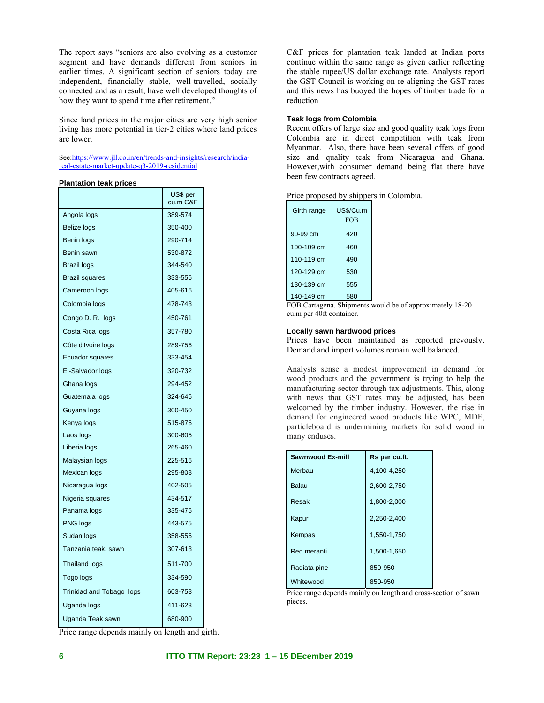The report says "seniors are also evolving as a customer segment and have demands different from seniors in earlier times. A significant section of seniors today are independent, financially stable, well-travelled, socially connected and as a result, have well developed thoughts of how they want to spend time after retirement."

Since land prices in the major cities are very high senior living has more potential in tier-2 cities where land prices are lower.

See:https://www.jll.co.in/en/trends-and-insights/research/indiareal-estate-market-update-q3-2019-residential

#### **Plantation teak prices**

|                          | US\$ per<br>cu.m C&F |
|--------------------------|----------------------|
| Angola logs              | 389-574              |
| Belize logs              | 350-400              |
| Benin logs               | 290-714              |
| Benin sawn               | 530-872              |
| Brazil logs              | 344-540              |
| <b>Brazil squares</b>    | 333-556              |
| Cameroon logs            | 405-616              |
| Colombia logs            | 478-743              |
| Congo D. R. logs         | 450-761              |
| Costa Rica logs          | 357-780              |
| Côte d'Ivoire logs       | 289-756              |
| Ecuador squares          | 333-454              |
| El-Salvador logs         | 320-732              |
| Ghana logs               | 294-452              |
| Guatemala logs           | 324-646              |
| Guyana logs              | 300-450              |
| Kenya logs               | 515-876              |
| Laos logs                | 300-605              |
| Liberia logs             | 265-460              |
| Malaysian logs           | 225-516              |
| Mexican logs             | 295-808              |
| Nicaragua logs           | 402-505              |
| Nigeria squares          | 434-517              |
| Panama logs              | 335-475              |
| PNG logs                 | 443-575              |
| Sudan logs               | 358-556              |
| Tanzania teak, sawn      | 307-613              |
| <b>Thailand logs</b>     | 511-700              |
| Togo logs                | 334-590              |
| Trinidad and Tobago logs | 603-753              |
| Uganda logs              | 411-623              |
| Uganda Teak sawn         | 680-900              |

C&F prices for plantation teak landed at Indian ports continue within the same range as given earlier reflecting the stable rupee/US dollar exchange rate. Analysts report the GST Council is working on re-aligning the GST rates and this news has buoyed the hopes of timber trade for a reduction

### **Teak logs from Colombia**

Recent offers of large size and good quality teak logs from Colombia are in direct competition with teak from Myanmar. Also, there have been several offers of good size and quality teak from Nicaragua and Ghana. However,with consumer demand being flat there have been few contracts agreed.

| Girth range | US\$/Cu.m<br><b>FOB</b> |
|-------------|-------------------------|
| 90-99 cm    | 420                     |
| 100-109 cm  | 460                     |
| 110-119 cm  | 490                     |
| 120-129 cm  | 530                     |
| 130-139 cm  | 555                     |
| 140-149 cm  | 580                     |

FOB Cartagena. Shipments would be of approximately 18-20 cu.m per 40ft container.

#### **Locally sawn hardwood prices**

Prices have been maintained as reported prevously. Demand and import volumes remain well balanced.

Analysts sense a modest improvement in demand for wood products and the government is trying to help the manufacturing sector through tax adjustments. This, along with news that GST rates may be adjusted, has been welcomed by the timber industry. However, the rise in demand for engineered wood products like WPC, MDF, particleboard is undermining markets for solid wood in many enduses.

| <b>Sawnwood Ex-mill</b> | Rs per cu.ft. |
|-------------------------|---------------|
| Merbau                  | 4,100-4,250   |
| Balau                   | 2.600-2,750   |
| Resak                   | 1,800-2,000   |
| Kapur                   | 2,250-2,400   |
| Kempas                  | 1,550-1,750   |
| Red meranti             | 1,500-1,650   |
| Radiata pine            | 850-950       |
| Whitewood               | 850-950       |

Price range depends mainly on length and cross-section of sawn pieces.

Price range depends mainly on length and girth.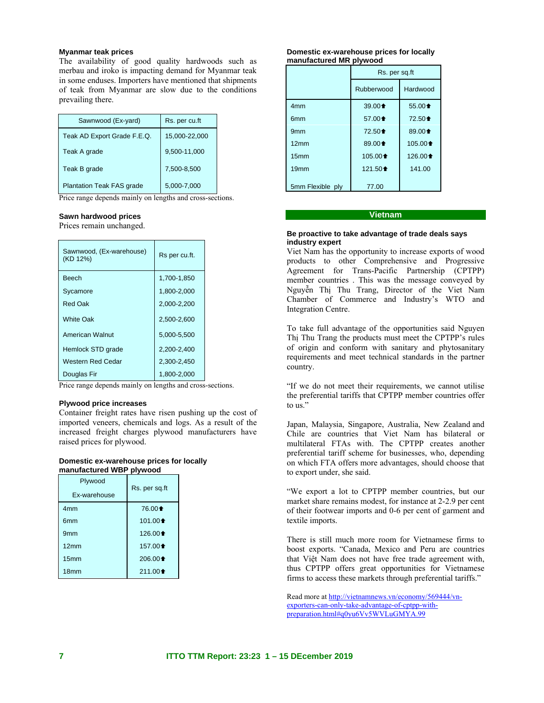### **Myanmar teak prices**

The availability of good quality hardwoods such as merbau and iroko is impacting demand for Myanmar teak in some enduses. Importers have mentioned that shipments of teak from Myanmar are slow due to the conditions prevailing there.

| Sawnwood (Ex-yard)               | Rs. per cu.ft |
|----------------------------------|---------------|
| Teak AD Export Grade F.E.Q.      | 15,000-22,000 |
| Teak A grade                     | 9,500-11,000  |
| Teak B grade                     | 7,500-8,500   |
| <b>Plantation Teak FAS grade</b> | 5,000-7,000   |

Price range depends mainly on lengths and cross-sections.

### **Sawn hardwood prices**

Prices remain unchanged.

| Sawnwood, (Ex-warehouse)<br>(KD 12%) | Rs per cu.ft. |
|--------------------------------------|---------------|
| <b>Beech</b>                         | 1,700-1,850   |
| Sycamore                             | 1,800-2,000   |
| <b>Red Oak</b>                       | 2,000-2,200   |
| <b>White Oak</b>                     | 2,500-2,600   |
| <b>American Walnut</b>               | 5,000-5,500   |
| Hemlock STD grade                    | 2,200-2,400   |
| Western Red Cedar                    | 2,300-2,450   |
| Douglas Fir                          | 1,800-2,000   |

Price range depends mainly on lengths and cross-sections.

### **Plywood price increases**

Container freight rates have risen pushing up the cost of imported veneers, chemicals and logs. As a result of the increased freight charges plywood manufacturers have raised prices for plywood.

#### **Domestic ex-warehouse prices for locally manufactured WBP plywood**

| Plywood<br>Ex-warehouse | Rs. per sq.ft      |
|-------------------------|--------------------|
| 4mm                     | 76.00 $\triangle$  |
| 6 <sub>mm</sub>         | $101.00 \text{ }$  |
| 9 <sub>mm</sub>         | 126.00 $\triangle$ |
| 12mm                    | 157.00 $\triangle$ |
| 15 <sub>mm</sub>        | $206.00 \text{ }$  |
| 18 <sub>mm</sub>        | $211.00 \text{ }$  |

#### **Domestic ex-warehouse prices for locally manufactured MR plywood**

|                  | Rs. per sq.ft                            |                                          |
|------------------|------------------------------------------|------------------------------------------|
|                  | Rubberwood                               | Hardwood                                 |
| 4 <sub>mm</sub>  | 39.00 <sup><math>\triangleq</math></sup> | $55.00 \text{ }$                         |
| 6 <sub>mm</sub>  | 57.00 <sup><math>\triangleq</math></sup> | 72.50 $\triangle$                        |
| 9 <sub>mm</sub>  | 72.50 <sup><math>\triangleq</math></sup> | 89.00 <sup><math>\triangleq</math></sup> |
| 12mm             | 89.00 <sup><math>\triangleq</math></sup> | $105.00 \text{ }$                        |
| 15 <sub>mm</sub> | 105.00 <sup><math>\triangle</math></sup> | $126.00 \text{ }$                        |
| 19mm             | 121.50 $\triangle$                       | 141.00                                   |
| 5mm Flexible ply | 77.00                                    |                                          |

### **Vietnam**

#### **Be proactive to take advantage of trade deals says industry expert**

Viet Nam has the opportunity to increase exports of wood products to other Comprehensive and Progressive Agreement for Trans-Pacific Partnership (CPTPP) member countries . This was the message conveyed by Nguyễn Thị Thu Trang, Director of the Viet Nam Chamber of Commerce and Industry's WTO and Integration Centre.

To take full advantage of the opportunities said Nguyen Thị Thu Trang the products must meet the CPTPP's rules of origin and conform with sanitary and phytosanitary requirements and meet technical standards in the partner country.

"If we do not meet their requirements, we cannot utilise the preferential tariffs that CPTPP member countries offer to us."

Japan, Malaysia, Singapore, Australia, New Zealand and Chile are countries that Viet Nam has bilateral or multilateral FTAs with. The CPTPP creates another preferential tariff scheme for businesses, who, depending on which FTA offers more advantages, should choose that to export under, she said.

"We export a lot to CPTPP member countries, but our market share remains modest, for instance at 2-2.9 per cent of their footwear imports and 0-6 per cent of garment and textile imports.

There is still much more room for Vietnamese firms to boost exports. "Canada, Mexico and Peru are countries that Việt Nam does not have free trade agreement with, thus CPTPP offers great opportunities for Vietnamese firms to access these markets through preferential tariffs."

Read more at http://vietnamnews.vn/economy/569444/vnexporters-can-only-take-advantage-of-cptpp-withpreparation.html#q0yu6Vv5WVLuGMYA.99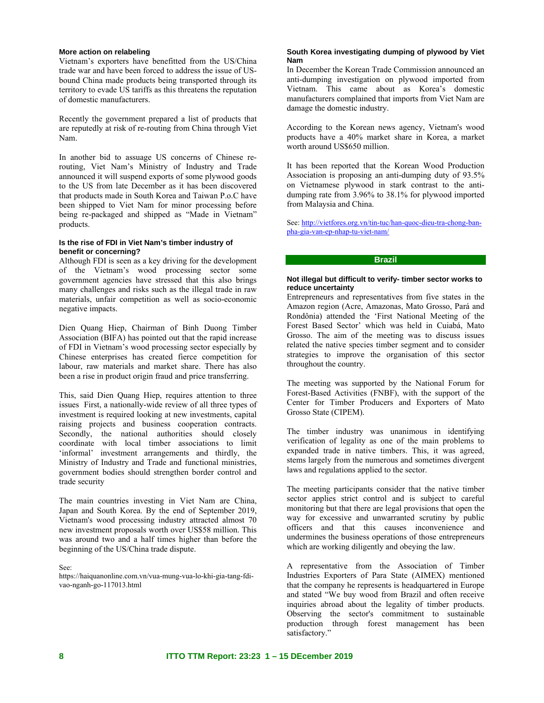#### **More action on relabeling**

Vietnam's exporters have benefitted from the US/China trade war and have been forced to address the issue of USbound China made products being transported through its territory to evade US tariffs as this threatens the reputation of domestic manufacturers.

Recently the government prepared a list of products that are reputedly at risk of re-routing from China through Viet Nam.

In another bid to assuage US concerns of Chinese rerouting, Viet Nam's Ministry of Industry and Trade announced it will suspend exports of some plywood goods to the US from late December as it has been discovered that products made in South Korea and Taiwan P.o.C have been shipped to Viet Nam for minor processing before being re-packaged and shipped as "Made in Vietnam" products.

#### **Is the rise of FDI in Viet Nam's timber industry of benefit or concerning?**

Although FDI is seen as a key driving for the development of the Vietnam's wood processing sector some government agencies have stressed that this also brings many challenges and risks such as the illegal trade in raw materials, unfair competition as well as socio-economic negative impacts.

Dien Quang Hiep, Chairman of Binh Duong Timber Association (BIFA) has pointed out that the rapid increase of FDI in Vietnam's wood processing sector especially by Chinese enterprises has created fierce competition for labour, raw materials and market share. There has also been a rise in product origin fraud and price transferring.

This, said Dien Quang Hiep, requires attention to three issues First, a nationally-wide review of all three types of investment is required looking at new investments, capital raising projects and business cooperation contracts. Secondly, the national authorities should closely coordinate with local timber associations to limit 'informal' investment arrangements and thirdly, the Ministry of Industry and Trade and functional ministries, government bodies should strengthen border control and trade security

The main countries investing in Viet Nam are China, Japan and South Korea. By the end of September 2019, Vietnam's wood processing industry attracted almost 70 new investment proposals worth over US\$58 million. This was around two and a half times higher than before the beginning of the US/China trade dispute.

See:

https://haiquanonline.com.vn/vua-mung-vua-lo-khi-gia-tang-fdivao-nganh-go-117013.html

### **South Korea investigating dumping of plywood by Viet Nam**

In December the Korean Trade Commission announced an anti-dumping investigation on plywood imported from Vietnam. This came about as Korea's domestic manufacturers complained that imports from Viet Nam are damage the domestic industry.

According to the Korean news agency, Vietnam's wood products have a 40% market share in Korea, a market worth around US\$650 million.

It has been reported that the Korean Wood Production Association is proposing an anti-dumping duty of 93.5% on Vietnamese plywood in stark contrast to the antidumping rate from 3.96% to 38.1% for plywood imported from Malaysia and China.

See: http://vietfores.org.vn/tin-tuc/han-quoc-dieu-tra-chong-banpha-gia-van-ep-nhap-tu-viet-nam/

### **Brazil**

#### **Not illegal but difficult to verify- timber sector works to reduce uncertainty**

Entrepreneurs and representatives from five states in the Amazon region (Acre, Amazonas, Mato Grosso, Pará and Rondônia) attended the 'First National Meeting of the Forest Based Sector' which was held in Cuiabá, Mato Grosso. The aim of the meeting was to discuss issues related the native species timber segment and to consider strategies to improve the organisation of this sector throughout the country.

The meeting was supported by the National Forum for Forest-Based Activities (FNBF), with the support of the Center for Timber Producers and Exporters of Mato Grosso State (CIPEM).

The timber industry was unanimous in identifying verification of legality as one of the main problems to expanded trade in native timbers. This, it was agreed, stems largely from the numerous and sometimes divergent laws and regulations applied to the sector.

The meeting participants consider that the native timber sector applies strict control and is subject to careful monitoring but that there are legal provisions that open the way for excessive and unwarranted scrutiny by public officers and that this causes inconvenience and undermines the business operations of those entrepreneurs which are working diligently and obeying the law.

A representative from the Association of Timber Industries Exporters of Para State (AIMEX) mentioned that the company he represents is headquartered in Europe and stated "We buy wood from Brazil and often receive inquiries abroad about the legality of timber products. Observing the sector's commitment to sustainable production through forest management has been satisfactory."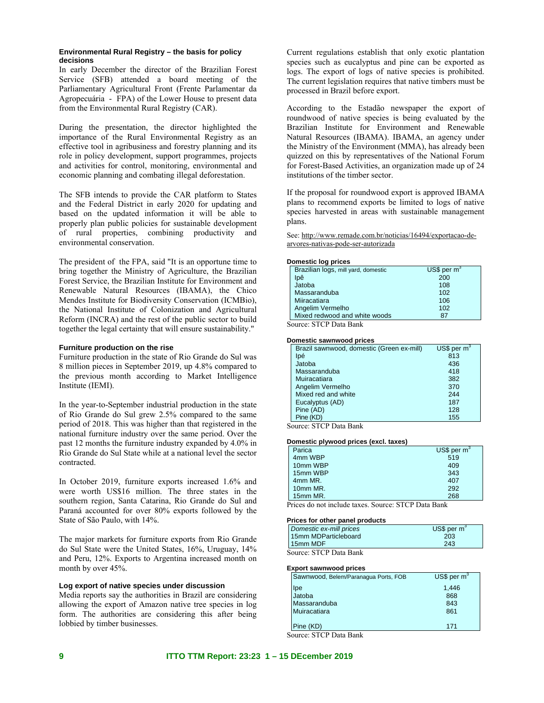#### **Environmental Rural Registry – the basis for policy decisions**

In early December the director of the Brazilian Forest Service (SFB) attended a board meeting of the Parliamentary Agricultural Front (Frente Parlamentar da Agropecuária - FPA) of the Lower House to present data from the Environmental Rural Registry (CAR).

During the presentation, the director highlighted the importance of the Rural Environmental Registry as an effective tool in agribusiness and forestry planning and its role in policy development, support programmes, projects and activities for control, monitoring, environmental and economic planning and combating illegal deforestation.

The SFB intends to provide the CAR platform to States and the Federal District in early 2020 for updating and based on the updated information it will be able to properly plan public policies for sustainable development of rural properties, combining productivity and environmental conservation.

The president of the FPA, said "It is an opportune time to bring together the Ministry of Agriculture, the Brazilian Forest Service, the Brazilian Institute for Environment and Renewable Natural Resources (IBAMA), the Chico Mendes Institute for Biodiversity Conservation (ICMBio), the National Institute of Colonization and Agricultural Reform (INCRA) and the rest of the public sector to build together the legal certainty that will ensure sustainability."

#### **Furniture production on the rise**

Furniture production in the state of Rio Grande do Sul was 8 million pieces in September 2019, up 4.8% compared to the previous month according to Market Intelligence Institute (IEMI).

In the year-to-September industrial production in the state of Rio Grande do Sul grew 2.5% compared to the same period of 2018. This was higher than that registered in the national furniture industry over the same period. Over the past 12 months the furniture industry expanded by 4.0% in Rio Grande do Sul State while at a national level the sector contracted.

In October 2019, furniture exports increased 1.6% and were worth US\$16 million. The three states in the southern region, Santa Catarina, Rio Grande do Sul and Paraná accounted for over 80% exports followed by the State of São Paulo, with 14%.

The major markets for furniture exports from Rio Grande do Sul State were the United States, 16%, Uruguay, 14% and Peru, 12%. Exports to Argentina increased month on month by over 45%.

#### **Log export of native species under discussion**

Media reports say the authorities in Brazil are considering allowing the export of Amazon native tree species in log form. The authorities are considering this after being lobbied by timber businesses.

Current regulations establish that only exotic plantation species such as eucalyptus and pine can be exported as logs. The export of logs of native species is prohibited. The current legislation requires that native timbers must be processed in Brazil before export.

According to the Estadão newspaper the export of roundwood of native species is being evaluated by the Brazilian Institute for Environment and Renewable Natural Resources (IBAMA). IBAMA, an agency under the Ministry of the Environment (MMA), has already been quizzed on this by representatives of the National Forum for Forest-Based Activities, an organization made up of 24 institutions of the timber sector.

If the proposal for roundwood export is approved IBAMA plans to recommend exports be limited to logs of native species harvested in areas with sustainable management plans.

See: http://www.remade.com.br/noticias/16494/exportacao-dearvores-nativas-pode-ser-autorizada

#### **Domestic log prices**

| Brazilian logs, mill yard, domestic | US\$ per $m^3$ |  |
|-------------------------------------|----------------|--|
| lpê                                 | 200            |  |
| Jatoba                              | 108            |  |
| Massaranduba                        | 102            |  |
| Miiracatiara                        | 106            |  |
| Angelim Vermelho                    | 102            |  |
| Mixed redwood and white woods       | 87             |  |
| Source: STCP Data Bank              |                |  |

**Domestic sawnwood prices** 

| Brazil sawnwood, domestic (Green ex-mill) | US\$ per $m^3$ |
|-------------------------------------------|----------------|
| lpé                                       | 813            |
| Jatoba                                    | 436            |
| Massaranduba                              | 418            |
| Muiracatiara                              | 382            |
| Angelim Vermelho                          | 370            |
| Mixed red and white                       | 244            |
| Eucalyptus (AD)                           | 187            |
| Pine (AD)                                 | 128            |
| Pine (KD)                                 | 155            |
|                                           |                |

Source: STCP Data Bank

#### **Domestic plywood prices (excl. taxes)**

| Parica      | $US$$ per m <sup>3</sup> |
|-------------|--------------------------|
| 4mm WBP     | 519                      |
| 10mm WBP    | 409                      |
| 15mm WBP    | 343                      |
| 4mm MR.     | 407                      |
| 10mm MR.    | 292                      |
| 15mm MR.    | 268                      |
| $\sim$<br>. | -                        |

Prices do not include taxes. Source: STCP Data Bank

#### **Prices for other panel products**

| Domestic ex-mill prices | US\$ per $m^3$ |
|-------------------------|----------------|
| 15mm MDParticleboard    | 203            |
| 15mm MDF                | 243            |

Source: STCP Data Bank

#### **Export sawnwood prices**

|                       | Sawnwood, Belem/Paranagua Ports, FOB | US\$ per $m^3$ |
|-----------------------|--------------------------------------|----------------|
|                       | Ipe                                  | 1,446          |
|                       | Jatoba                               | 868            |
|                       | Massaranduba                         | 843            |
|                       | Muiracatiara                         | 861            |
|                       |                                      |                |
|                       | Pine (KD)                            | 171            |
| $\tilde{\phantom{a}}$ | $\alpha$ m $\alpha$ n $\alpha$       |                |

Source: STCP Data Bank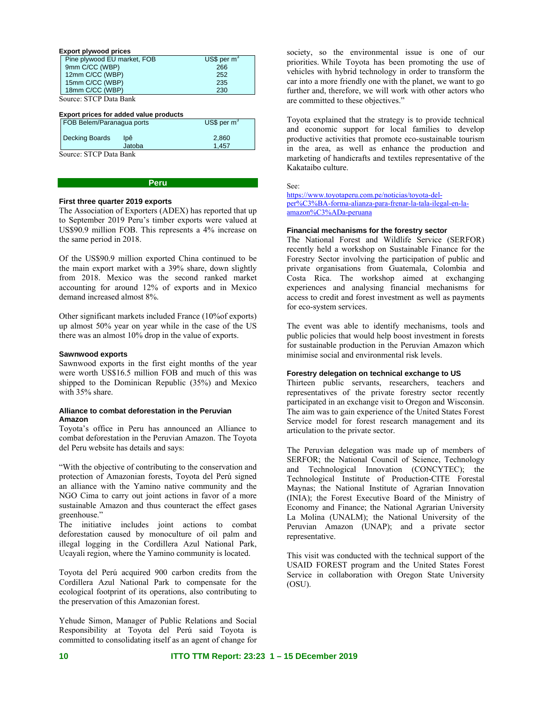| <b>Export plywood prices</b> |               |  |  |
|------------------------------|---------------|--|--|
| Pine plywood EU market, FOB  | US\$ per $m3$ |  |  |
| 9mm C/CC (WBP)               | 266           |  |  |
| 12mm C/CC (WBP)              | 252           |  |  |
| 15mm C/CC (WBP)              | 235           |  |  |
| 18mm C/CC (WBP)              | 230           |  |  |

Source: STCP Data Bank

#### **Export prices for added value products**

| FOB Belem/Paranagua ports    | US\$ per $m^3$ |
|------------------------------|----------------|
| <b>Decking Boards</b><br>lpê | 2.860          |
| Jatoba                       | 1.457          |
| $\alpha$ m $\alpha$ n n n 1  |                |

Source: STCP Data Bank

#### **Peru**

#### **First three quarter 2019 exports**

The Association of Exporters (ADEX) has reported that up to September 2019 Peru's timber exports were valued at US\$90.9 million FOB. This represents a 4% increase on the same period in 2018.

Of the US\$90.9 million exported China continued to be the main export market with a 39% share, down slightly from 2018. Mexico was the second ranked market accounting for around 12% of exports and in Mexico demand increased almost 8%.

Other significant markets included France (10%of exports) up almost 50% year on year while in the case of the US there was an almost 10% drop in the value of exports.

#### **Sawnwood exports**

Sawnwood exports in the first eight months of the year were worth US\$16.5 million FOB and much of this was shipped to the Dominican Republic (35%) and Mexico with 35% share.

### **Alliance to combat deforestation in the Peruvian Amazon**

Toyota's office in Peru has announced an Alliance to combat deforestation in the Peruvian Amazon. The Toyota del Peru website has details and says:

"With the objective of contributing to the conservation and protection of Amazonian forests, Toyota del Perú signed an alliance with the Yamino native community and the NGO Cima to carry out joint actions in favor of a more sustainable Amazon and thus counteract the effect gases greenhouse."

The initiative includes joint actions to combat deforestation caused by monoculture of oil palm and illegal logging in the Cordillera Azul National Park, Ucayali region, where the Yamino community is located.

Toyota del Perú acquired 900 carbon credits from the Cordillera Azul National Park to compensate for the ecological footprint of its operations, also contributing to the preservation of this Amazonian forest.

Yehude Simon, Manager of Public Relations and Social Responsibility at Toyota del Perú said Toyota is committed to consolidating itself as an agent of change for society, so the environmental issue is one of our priorities. While Toyota has been promoting the use of vehicles with hybrid technology in order to transform the car into a more friendly one with the planet, we want to go further and, therefore, we will work with other actors who are committed to these objectives."

Toyota explained that the strategy is to provide technical and economic support for local families to develop productive activities that promote eco-sustainable tourism in the area, as well as enhance the production and marketing of handicrafts and textiles representative of the Kakataibo culture.

See:

https://www.toyotaperu.com.pe/noticias/toyota-delper%C3%BA-forma-alianza-para-frenar-la-tala-ilegal-en-laamazon%C3%ADa-peruana

### **Financial mechanisms for the forestry sector**

The National Forest and Wildlife Service (SERFOR) recently held a workshop on Sustainable Finance for the Forestry Sector involving the participation of public and private organisations from Guatemala, Colombia and Costa Rica. The workshop aimed at exchanging experiences and analysing financial mechanisms for access to credit and forest investment as well as payments for eco-system services.

The event was able to identify mechanisms, tools and public policies that would help boost investment in forests for sustainable production in the Peruvian Amazon which minimise social and environmental risk levels.

#### **Forestry delegation on technical exchange to US**

Thirteen public servants, researchers, teachers and representatives of the private forestry sector recently participated in an exchange visit to Oregon and Wisconsin. The aim was to gain experience of the United States Forest Service model for forest research management and its articulation to the private sector.

The Peruvian delegation was made up of members of SERFOR; the National Council of Science, Technology and Technological Innovation (CONCYTEC); the Technological Institute of Production-CITE Forestal Maynas; the National Institute of Agrarian Innovation (INIA); the Forest Executive Board of the Ministry of Economy and Finance; the National Agrarian University La Molina (UNALM); the National University of the Peruvian Amazon (UNAP); and a private sector representative.

This visit was conducted with the technical support of the USAID FOREST program and the United States Forest Service in collaboration with Oregon State University (OSU).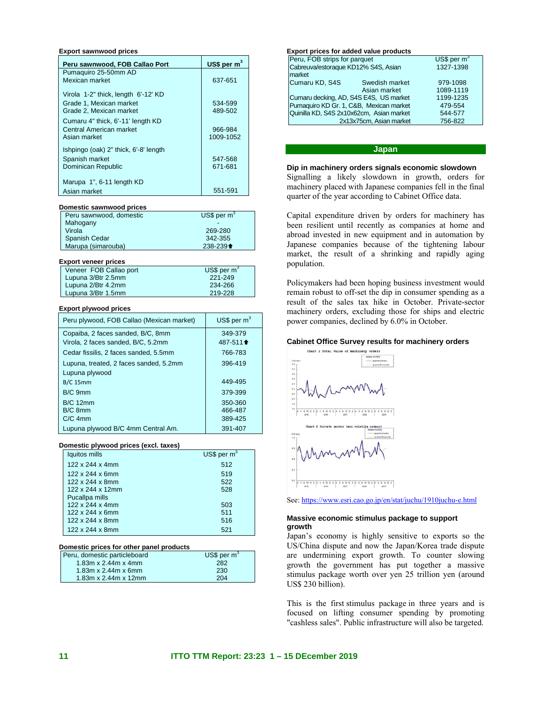#### **Export sawnwood prices**

| Peru sawnwood, FOB Callao Port        | US\$ per $m^3$ |
|---------------------------------------|----------------|
| Pumaquiro 25-50mm AD                  |                |
| Mexican market                        | 637-651        |
| Virola 1-2" thick, length 6'-12' KD   |                |
| Grade 1, Mexican market               | 534-599        |
| Grade 2. Mexican market               | 489-502        |
| Cumaru 4" thick, 6'-11' length KD     |                |
| Central American market               | 966-984        |
| Asian market                          | 1009-1052      |
| Ishpingo (oak) 2" thick, 6'-8' length |                |
| Spanish market                        | 547-568        |
| Dominican Republic                    | 671-681        |
|                                       |                |
| Marupa 1", 6-11 length KD             |                |
| Asian market                          | 551-591        |

#### **Domestic sawnwood prices**

| Peru sawnwood, domestic | $US$$ per $m^3$                           |
|-------------------------|-------------------------------------------|
| Mahogany                |                                           |
| Virola                  | 269-280                                   |
| <b>Spanish Cedar</b>    | 342-355                                   |
| Marupa (simarouba)      | 238-239 <sup><math>\triangle</math></sup> |

#### **Export veneer prices**

| Veneer FOB Callao port | US\$ per $m^3$ |
|------------------------|----------------|
| Lupuna 3/Btr 2.5mm     | 221-249        |
| Lupuna 2/Btr 4.2mm     | 234-266        |
| Lupuna 3/Btr 1.5mm     | 219-228        |

#### **Export plywood prices**

| Peru plywood, FOB Callao (Mexican market) | US\$ per $m3$       |
|-------------------------------------------|---------------------|
| Copaiba, 2 faces sanded, B/C, 8mm         | 349-379             |
| Virola, 2 faces sanded, B/C, 5.2mm        | 487-511 $\triangle$ |
| Cedar fissilis, 2 faces sanded, 5.5mm     | 766-783             |
| Lupuna, treated, 2 faces sanded, 5.2mm    | 396-419             |
| Lupuna plywood                            |                     |
| $B/C$ 15mm                                | 449-495             |
| B/C 9mm                                   | 379-399             |
| <b>B/C 12mm</b>                           | 350-360             |
| B/C 8mm                                   | 466-487             |
| $C/C$ 4mm                                 | 389-425             |
| Lupuna plywood B/C 4mm Central Am.        | 391-407             |

#### **Domestic plywood prices (excl. taxes)**

| Iquitos mills    | US\$ per $m3$ |
|------------------|---------------|
| 122 x 244 x 4mm  | 512           |
| 122 x 244 x 6mm  | 519           |
| 122 x 244 x 8mm  | 522           |
| 122 x 244 x 12mm | 528           |
| Pucallpa mills   |               |
| 122 x 244 x 4mm  | 503           |
| 122 x 244 x 6mm  | 511           |
| 122 x 244 x 8mm  | 516           |
| 122 x 244 x 8mm  | 521           |

#### **Domestic prices for other panel products**

| Peru, domestic particleboard | US\$ per $m^3$ |
|------------------------------|----------------|
| 1.83m x $2.44m x 4mm$        | 282            |
| 1.83m x 2.44m x 6mm          | 230            |
| 1.83m x $2.44m x 12mm$       | 204            |

| Export prices for added value products   |                              |           |
|------------------------------------------|------------------------------|-----------|
|                                          | Peru, FOB strips for parquet |           |
| Cabreuva/estoraque KD12% S4S, Asian      |                              | 1327-1398 |
| market                                   |                              |           |
| Cumaru KD, S4S                           | Swedish market               | 979-1098  |
|                                          | Asian market                 | 1089-1119 |
| Cumaru decking, AD, S4S E4S, US market   |                              | 1199-1235 |
| Pumaquiro KD Gr. 1, C&B, Mexican market  |                              | 479-554   |
| Quinilla KD, S4S 2x10x62cm, Asian market |                              | 544-577   |
|                                          | 2x13x75cm, Asian market      | 756-822   |
|                                          |                              |           |

### **Japan**

**Dip in machinery orders signals economic slowdown**  Signalling a likely slowdown in growth, orders for machinery placed with Japanese companies fell in the final quarter of the year according to Cabinet Office data.

Capital expenditure driven by orders for machinery has been resilient until recently as companies at home and abroad invested in new equipment and in automation by Japanese companies because of the tightening labour market, the result of a shrinking and rapidly aging population.

Policymakers had been hoping business investment would remain robust to off-set the dip in consumer spending as a result of the sales tax hike in October. Private-sector machinery orders, excluding those for ships and electric power companies, declined by 6.0% in October.

#### **Cabinet Office Survey results for machinery orders**



See: https://www.esri.cao.go.jp/en/stat/juchu/1910juchu-e.html

#### **Massive economic stimulus package to support growth**

Japan's economy is highly sensitive to exports so the US/China dispute and now the Japan/Korea trade dispute are undermining export growth. To counter slowing growth the government has put together a massive stimulus package worth over yen 25 trillion yen (around US\$ 230 billion).

This is the first stimulus package in three years and is focused on lifting consumer spending by promoting "cashless sales". Public infrastructure will also be targeted.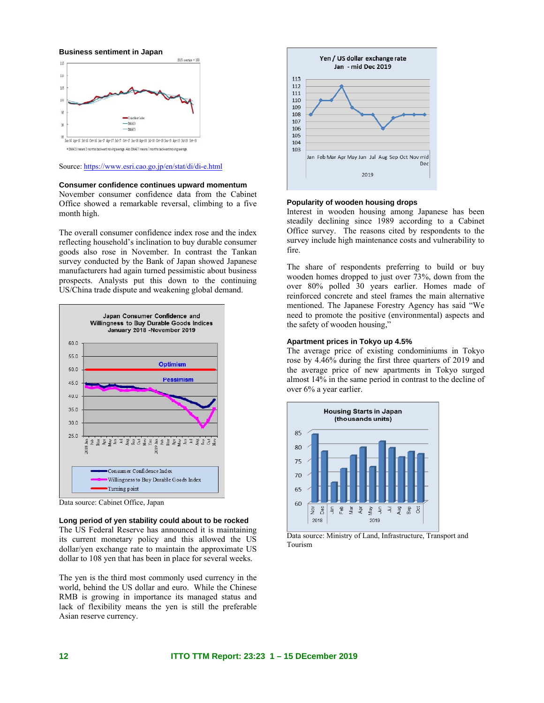**Business sentiment in Japan** 



Source: https://www.esri.cao.go.jp/en/stat/di/di-e.html

### **Consumer confidence continues upward momentum**

November consumer confidence data from the Cabinet Office showed a remarkable reversal, climbing to a five month high.

The overall consumer confidence index rose and the index reflecting household's inclination to buy durable consumer goods also rose in November. In contrast the Tankan survey conducted by the Bank of Japan showed Japanese manufacturers had again turned pessimistic about business prospects. Analysts put this down to the continuing US/China trade dispute and weakening global demand.



Data source: Cabinet Office, Japan

### **Long period of yen stability could about to be rocked**

The US Federal Reserve has announced it is maintaining its current monetary policy and this allowed the US dollar/yen exchange rate to maintain the approximate US dollar to 108 yen that has been in place for several weeks.

The yen is the third most commonly used currency in the world, behind the US dollar and euro. While the Chinese RMB is growing in importance its managed status and lack of flexibility means the yen is still the preferable Asian reserve currency.



### **Popularity of wooden housing drops**

Interest in wooden housing among Japanese has been steadily declining since 1989 according to a Cabinet Office survey. The reasons cited by respondents to the survey include high maintenance costs and vulnerability to fire.

The share of respondents preferring to build or buy wooden homes dropped to just over 73%, down from the over 80% polled 30 years earlier. Homes made of reinforced concrete and steel frames the main alternative mentioned. The Japanese Forestry Agency has said "We need to promote the positive (environmental) aspects and the safety of wooden housing,

#### **Apartment prices in Tokyo up 4.5%**

The average price of existing condominiums in Tokyo rose by 4.46% during the first three quarters of 2019 and the average price of new apartments in Tokyo surged almost 14% in the same period in contrast to the decline of over 6% a year earlier.



Data source: Ministry of Land, Infrastructure, Transport and Tourism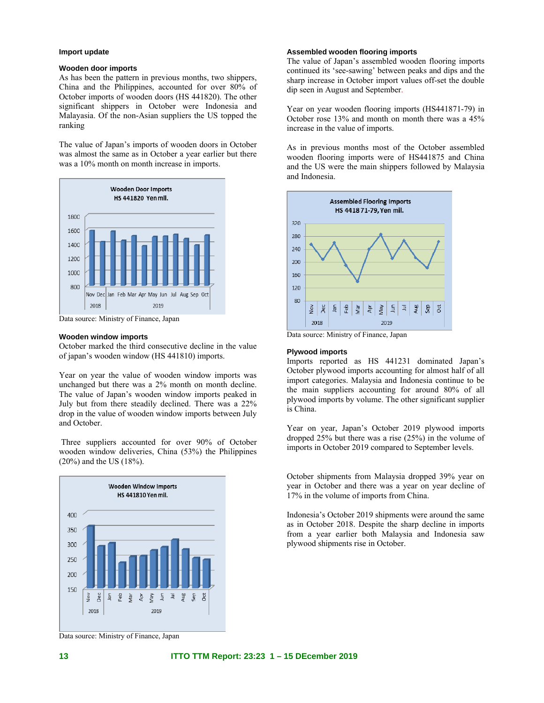### **Import update**

#### **Wooden door imports**

As has been the pattern in previous months, two shippers, China and the Philippines, accounted for over 80% of October imports of wooden doors (HS 441820). The other significant shippers in October were Indonesia and Malayasia. Of the non-Asian suppliers the US topped the ranking

The value of Japan's imports of wooden doors in October was almost the same as in October a year earlier but there was a  $10\%$  month on month increase in imports.



Data source: Ministry of Finance, Japan

#### **Wooden window imports**

October marked the third consecutive decline in the value of japan's wooden window (HS 441810) imports.

Year on year the value of wooden window imports was unchanged but there was a 2% month on month decline. The value of Japan's wooden window imports peaked in July but from there steadily declined. There was a 22% drop in the value of wooden window imports between July and October.

 Three suppliers accounted for over 90% of October wooden window deliveries, China (53%) the Philippines (20%) and the US (18%).



#### **Assembled wooden flooring imports**

The value of Japan's assembled wooden flooring imports continued its 'see-sawing' between peaks and dips and the sharp increase in October import values off-set the double dip seen in August and September.

Year on year wooden flooring imports (HS441871-79) in October rose 13% and month on month there was a 45% increase in the value of imports.

As in previous months most of the October assembled wooden flooring imports were of HS441875 and China and the US were the main shippers followed by Malaysia and Indonesia.



Data source: Ministry of Finance, Japan

#### **Plywood imports**

Imports reported as HS 441231 dominated Japan's October plywood imports accounting for almost half of all import categories. Malaysia and Indonesia continue to be the main suppliers accounting for around 80% of all plywood imports by volume. The other significant supplier is China.

Year on year, Japan's October 2019 plywood imports dropped 25% but there was a rise (25%) in the volume of imports in October 2019 compared to September levels.

October shipments from Malaysia dropped 39% year on year in October and there was a year on year decline of 17% in the volume of imports from China.

Indonesia's October 2019 shipments were around the same as in October 2018. Despite the sharp decline in imports from a year earlier both Malaysia and Indonesia saw plywood shipments rise in October.

Data source: Ministry of Finance, Japan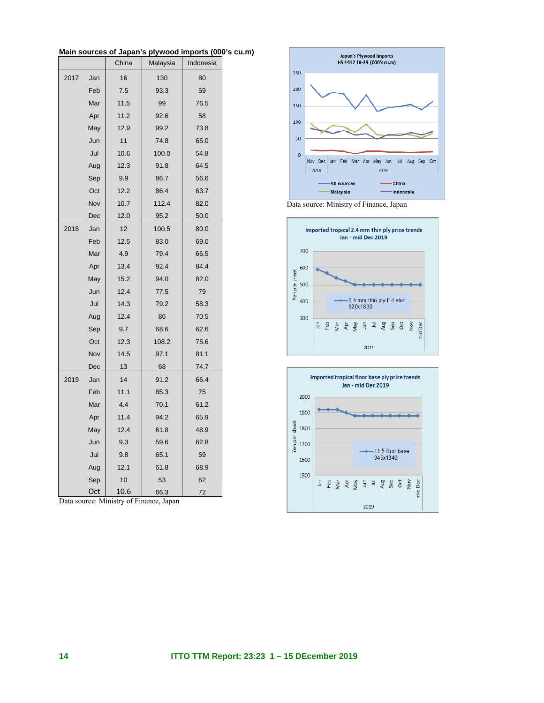|      |     | China | Malaysia | Indonesia |  |
|------|-----|-------|----------|-----------|--|
| 2017 | Jan | 16    | 130      | 80        |  |
|      | Feb | 7.5   | 93.3     | 59        |  |
|      | Mar | 11.5  | 99       | 76.5      |  |
|      | Apr | 11.2  | 92.6     | 58        |  |
|      | May | 12.9  | 99.2     | 73.8      |  |
|      | Jun | 11    | 74.8     | 65.0      |  |
|      | Jul | 10.6  | 100.0    | 54.8      |  |
|      | Aug | 12.3  | 91.8     | 64.5      |  |
|      | Sep | 9.9   | 86.7     | 56.6      |  |
|      | Oct | 12.2  | 86.4     | 63.7      |  |
|      | Nov | 10.7  | 112.4    | 82.0      |  |
|      | Dec | 12.0  | 95.2     | 50.0      |  |
| 2018 | Jan | 12    | 100.5    | 80.0      |  |
|      | Feb | 12.5  | 83.0     | 69.0      |  |
|      | Mar | 4.9   | 79.4     | 66.5      |  |
|      | Apr | 13.4  | 92.4     | 84.4      |  |
|      | May | 15.2  | 94.0     | 82.0      |  |
|      | Jun | 12.4  | 77.5     | 79        |  |
|      | Jul | 14.3  | 79.2     | 58.3      |  |
|      | Aug | 12.4  | 86       | 70.5      |  |
|      | Sep | 9.7   | 68.6     | 62.6      |  |
|      | Oct | 12.3  | 108.2    | 75.6      |  |
|      | Nov | 14.5  | 97.1     | 81.1      |  |
|      | Dec | 13    | 68       | 74.7      |  |
| 2019 | Jan | 14    | 91.2     | 66.4      |  |
|      | Feb | 11.1  | 85.3     | 75        |  |
|      | Mar | 4.4   | 70.1     | 61.2      |  |
|      | Apr | 11.4  | 94.2     | 65.9      |  |
|      | May | 12.4  | 61.8     | 48.9      |  |
|      | Jun | 9.3   | 59.6     | 62.8      |  |
|      | Jul | 9.8   | 65.1     | 59        |  |
|      | Aug | 12.1  | 61.8     | 68.9      |  |
|      | Sep | 10    | 53       | 62        |  |
|      | Oct | 10.6  | 66.3     | 72        |  |

**Main sources of Japan's plywood imports (000's cu.m)** 

Data source: Ministry of Finance, Japan



Data source: Ministry of Finance, Japan



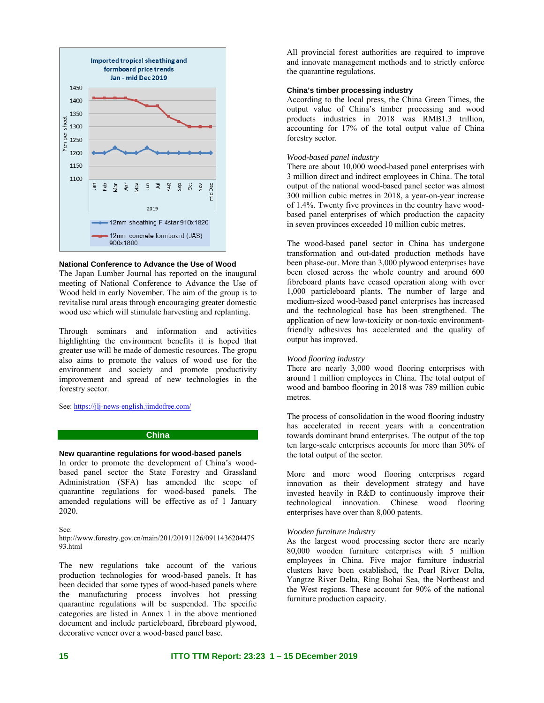

#### **National Conference to Advance the Use of Wood**

The Japan Lumber Journal has reported on the inaugural meeting of National Conference to Advance the Use of Wood held in early November. The aim of the group is to revitalise rural areas through encouraging greater domestic wood use which will stimulate harvesting and replanting.

Through seminars and information and activities highlighting the environment benefits it is hoped that greater use will be made of domestic resources. The gropu also aims to promote the values of wood use for the environment and society and promote productivity improvement and spread of new technologies in the forestry sector.

See: https://jlj-news-english.jimdofree.com/

### **China**

### **New quarantine regulations for wood-based panels**

In order to promote the development of China's woodbased panel sector the State Forestry and Grassland Administration (SFA) has amended the scope of quarantine regulations for wood-based panels. The amended regulations will be effective as of 1 January 2020.

See:

http://www.forestry.gov.cn/main/201/20191126/0911436204475 93.html

The new regulations take account of the various production technologies for wood-based panels. It has been decided that some types of wood-based panels where the manufacturing process involves hot pressing quarantine regulations will be suspended. The specific categories are listed in Annex 1 in the above mentioned document and include particleboard, fibreboard plywood, decorative veneer over a wood-based panel base.

All provincial forest authorities are required to improve and innovate management methods and to strictly enforce the quarantine regulations.

### **China's timber processing industry**

According to the local press, the China Green Times, the output value of China's timber processing and wood products industries in 2018 was RMB1.3 trillion, accounting for 17% of the total output value of China forestry sector.

#### *Wood-based panel industry*

There are about 10,000 wood-based panel enterprises with 3 million direct and indirect employees in China. The total output of the national wood-based panel sector was almost 300 million cubic metres in 2018, a year-on-year increase of 1.4%. Twenty five provinces in the country have woodbased panel enterprises of which production the capacity in seven provinces exceeded 10 million cubic metres.

The wood-based panel sector in China has undergone transformation and out-dated production methods have been phase-out. More than 3,000 plywood enterprises have been closed across the whole country and around 600 fibreboard plants have ceased operation along with over 1,000 particleboard plants. The number of large and medium-sized wood-based panel enterprises has increased and the technological base has been strengthened. The application of new low-toxicity or non-toxic environmentfriendly adhesives has accelerated and the quality of output has improved.

#### *Wood flooring industry*

There are nearly 3,000 wood flooring enterprises with around 1 million employees in China. The total output of wood and bamboo flooring in 2018 was 789 million cubic metres.

The process of consolidation in the wood flooring industry has accelerated in recent years with a concentration towards dominant brand enterprises. The output of the top ten large-scale enterprises accounts for more than 30% of the total output of the sector.

More and more wood flooring enterprises regard innovation as their development strategy and have invested heavily in R&D to continuously improve their technological innovation. Chinese wood flooring enterprises have over than 8,000 patents.

#### *Wooden furniture industry*

As the largest wood processing sector there are nearly 80,000 wooden furniture enterprises with 5 million employees in China. Five major furniture industrial clusters have been established, the Pearl River Delta, Yangtze River Delta, Ring Bohai Sea, the Northeast and the West regions. These account for 90% of the national furniture production capacity.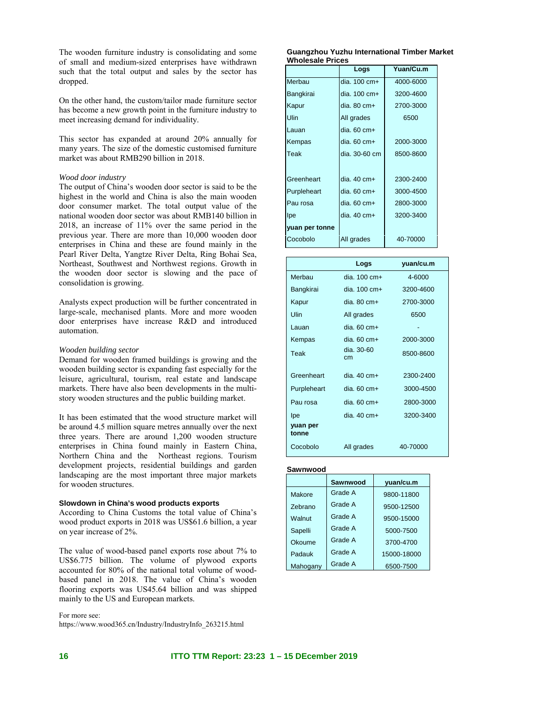The wooden furniture industry is consolidating and some of small and medium-sized enterprises have withdrawn such that the total output and sales by the sector has dropped.

On the other hand, the custom/tailor made furniture sector has become a new growth point in the furniture industry to meet increasing demand for individuality.

This sector has expanded at around 20% annually for many years. The size of the domestic customised furniture market was about RMB290 billion in 2018.

#### *Wood door industry*

The output of China's wooden door sector is said to be the highest in the world and China is also the main wooden door consumer market. The total output value of the national wooden door sector was about RMB140 billion in 2018, an increase of 11% over the same period in the previous year. There are more than 10,000 wooden door enterprises in China and these are found mainly in the Pearl River Delta, Yangtze River Delta, Ring Bohai Sea, Northeast, Southwest and Northwest regions. Growth in the wooden door sector is slowing and the pace of consolidation is growing.

Analysts expect production will be further concentrated in large-scale, mechanised plants. More and more wooden door enterprises have increase R&D and introduced automation.

#### *Wooden building sector*

Demand for wooden framed buildings is growing and the wooden building sector is expanding fast especially for the leisure, agricultural, tourism, real estate and landscape markets. There have also been developments in the multistory wooden structures and the public building market.

It has been estimated that the wood structure market will be around 4.5 million square metres annually over the next three years. There are around 1,200 wooden structure enterprises in China found mainly in Eastern China, Northern China and the Northeast regions. Tourism development projects, residential buildings and garden landscaping are the most important three major markets for wooden structures.

#### **Slowdown in China's wood products exports**

According to China Customs the total value of China's wood product exports in 2018 was US\$61.6 billion, a year on year increase of 2%.

The value of wood-based panel exports rose about 7% to US\$6.775 billion. The volume of plywood exports accounted for 80% of the national total volume of woodbased panel in 2018. The value of China's wooden flooring exports was US45.64 billion and was shipped mainly to the US and European markets.

#### For more see:

https://www.wood365.cn/Industry/IndustryInfo\_263215.html

#### **Guangzhou Yuzhu International Timber Market Wholesale Prices**

|                | Logs                   | Yuan/Cu.m |
|----------------|------------------------|-----------|
| Merbau         | dia. $100 \text{ cm}+$ | 4000-6000 |
| Bangkirai      | dia. $100 \text{ cm}+$ | 3200-4600 |
| Kapur          | dia. $80 \text{ cm}+$  | 2700-3000 |
| Ulin           | All grades             | 6500      |
| Lauan          | dia. $60 \text{ cm}+$  |           |
| Kempas         | dia. $60 \text{ cm}+$  | 2000-3000 |
| Teak           | dia, 30-60 cm          | 8500-8600 |
|                |                        |           |
| Greenheart     | dia. $40 \text{ cm}+$  | 2300-2400 |
| Purpleheart    | dia. 60 cm+            | 3000-4500 |
| Pau rosa       | dia. 60 cm+            | 2800-3000 |
| Ipe            | dia. 40 cm+            | 3200-3400 |
| yuan per tonne |                        |           |
| Cocobolo       | All grades             | 40-70000  |

|                   | Logs                    | yuan/cu.m |
|-------------------|-------------------------|-----------|
| Merbau            | dia. 100 cm+            | 4-6000    |
| Bangkirai         | dia. $100 \text{ cm}$ + | 3200-4600 |
| Kapur             | $dia. 80 cm+$           | 2700-3000 |
| Ulin              | All grades              | 6500      |
| Lauan             | $dia.60 cm+$            |           |
| Kempas            | $dia.60 cm+$            | 2000-3000 |
| Teak              | $dia. 30-60$<br>cm      | 8500-8600 |
| Greenheart        | dia, 40 cm+             | 2300-2400 |
| Purpleheart       | $dia.60 cm+$            | 3000-4500 |
| Pau rosa          | $dia.60 cm+$            | 2800-3000 |
| lpe               | dia. $40 \text{ cm}+$   | 3200-3400 |
| yuan per<br>tonne |                         |           |
| Cocobolo          | All grades              | 40-70000  |

#### **Sawnwood**

|                | Sawnwood | yuan/cu.m   |
|----------------|----------|-------------|
| Makore         | Grade A  | 9800-11800  |
| <b>Zebrano</b> | Grade A  | 9500-12500  |
| Walnut         | Grade A  | 9500-15000  |
| Sapelli        | Grade A  | 5000-7500   |
| Okoume         | Grade A  | 3700-4700   |
| Padauk         | Grade A  | 15000-18000 |
| Mahogany       | Grade A  | 6500-7500   |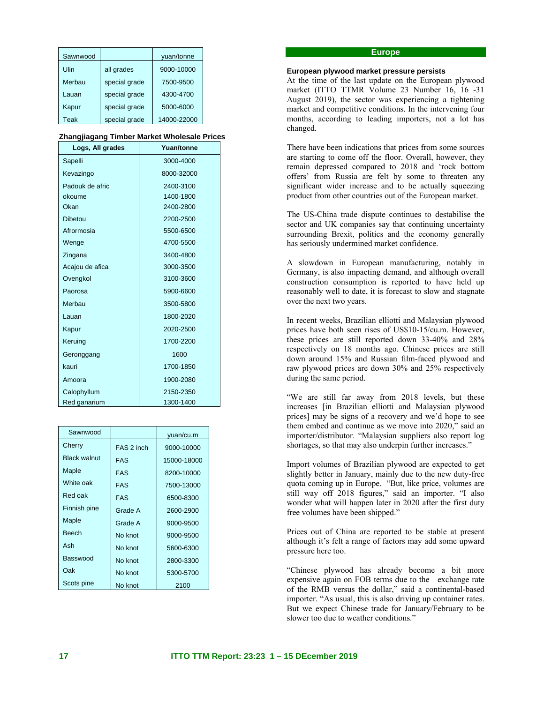| Sawnwood |               | yuan/tonne  |
|----------|---------------|-------------|
| Ulin     | all grades    | 9000-10000  |
| Merbau   | special grade | 7500-9500   |
| Lauan    | special grade | 4300-4700   |
| Kapur    | special grade | 5000-6000   |
| Teak     | special grade | 14000-22000 |

#### **Zhangjiagang Timber Market Wholesale Prices**

| Logs, All grades | Yuan/tonne |  |
|------------------|------------|--|
| Sapelli          | 3000-4000  |  |
| Kevazingo        | 8000-32000 |  |
| Padouk de afric  | 2400-3100  |  |
| okoume           | 1400-1800  |  |
| Okan             | 2400-2800  |  |
| <b>Dibetou</b>   | 2200-2500  |  |
| Afrormosia       | 5500-6500  |  |
| Wenge            | 4700-5500  |  |
| Zingana          | 3400-4800  |  |
| Acajou de afica  | 3000-3500  |  |
| Ovengkol         | 3100-3600  |  |
| Paorosa          | 5900-6600  |  |
| Merbau           | 3500-5800  |  |
| Lauan            | 1800-2020  |  |
| Kapur            | 2020-2500  |  |
| Keruing          | 1700-2200  |  |
| Geronggang       | 1600       |  |
| kauri            | 1700-1850  |  |
| Amoora           | 1900-2080  |  |
| Calophyllum      | 2150-2350  |  |
| Red ganarium     | 1300-1400  |  |

| Sawnwood            |            | yuan/cu.m   |
|---------------------|------------|-------------|
| Cherry              | FAS 2 inch | 9000-10000  |
| <b>Black walnut</b> | <b>FAS</b> | 15000-18000 |
| Maple               | <b>FAS</b> | 8200-10000  |
| White oak           | <b>FAS</b> | 7500-13000  |
| Red oak             | <b>FAS</b> | 6500-8300   |
| Finnish pine        | Grade A    | 2600-2900   |
| Maple               | Grade A    | 9000-9500   |
| <b>Beech</b>        | No knot    | 9000-9500   |
| Ash                 | No knot    | 5600-6300   |
| Basswood            | No knot    | 2800-3300   |
| Oak                 | No knot    | 5300-5700   |
| Scots pine          | No knot    | 2100        |

### **Europe**

#### **European plywood market pressure persists**

At the time of the last update on the European plywood market (ITTO TTMR Volume 23 Number 16, 16 -31 August 2019), the sector was experiencing a tightening market and competitive conditions. In the intervening four months, according to leading importers, not a lot has changed.

There have been indications that prices from some sources are starting to come off the floor. Overall, however, they remain depressed compared to 2018 and 'rock bottom offers' from Russia are felt by some to threaten any significant wider increase and to be actually squeezing product from other countries out of the European market.

The US-China trade dispute continues to destabilise the sector and UK companies say that continuing uncertainty surrounding Brexit, politics and the economy generally has seriously undermined market confidence.

A slowdown in European manufacturing, notably in Germany, is also impacting demand, and although overall construction consumption is reported to have held up reasonably well to date, it is forecast to slow and stagnate over the next two years.

In recent weeks, Brazilian elliotti and Malaysian plywood prices have both seen rises of US\$10-15/cu.m. However, these prices are still reported down 33-40% and 28% respectively on 18 months ago. Chinese prices are still down around 15% and Russian film-faced plywood and raw plywood prices are down 30% and 25% respectively during the same period.

"We are still far away from 2018 levels, but these increases [in Brazilian elliotti and Malaysian plywood prices] may be signs of a recovery and we'd hope to see them embed and continue as we move into 2020," said an importer/distributor. "Malaysian suppliers also report log shortages, so that may also underpin further increases."

Import volumes of Brazilian plywood are expected to get slightly better in January, mainly due to the new duty-free quota coming up in Europe. "But, like price, volumes are still way off 2018 figures," said an importer. "I also wonder what will happen later in 2020 after the first duty free volumes have been shipped."

Prices out of China are reported to be stable at present although it's felt a range of factors may add some upward pressure here too.

"Chinese plywood has already become a bit more expensive again on FOB terms due to the exchange rate of the RMB versus the dollar," said a continental-based importer. "As usual, this is also driving up container rates. But we expect Chinese trade for January/February to be slower too due to weather conditions."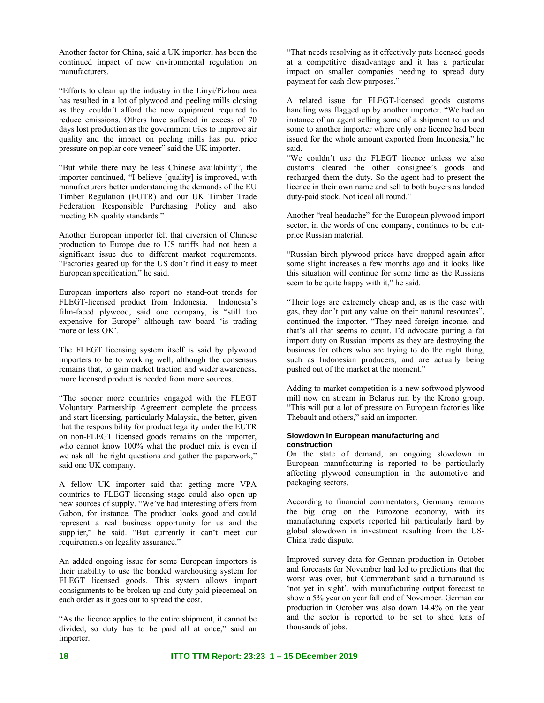Another factor for China, said a UK importer, has been the continued impact of new environmental regulation on manufacturers.

"Efforts to clean up the industry in the Linyi/Pizhou area has resulted in a lot of plywood and peeling mills closing as they couldn't afford the new equipment required to reduce emissions. Others have suffered in excess of 70 days lost production as the government tries to improve air quality and the impact on peeling mills has put price pressure on poplar core veneer" said the UK importer.

"But while there may be less Chinese availability", the importer continued, "I believe [quality] is improved, with manufacturers better understanding the demands of the EU Timber Regulation (EUTR) and our UK Timber Trade Federation Responsible Purchasing Policy and also meeting EN quality standards."

Another European importer felt that diversion of Chinese production to Europe due to US tariffs had not been a significant issue due to different market requirements. "Factories geared up for the US don't find it easy to meet European specification," he said.

European importers also report no stand-out trends for FLEGT-licensed product from Indonesia. Indonesia's film-faced plywood, said one company, is "still too expensive for Europe" although raw board 'is trading more or less OK'.

The FLEGT licensing system itself is said by plywood importers to be to working well, although the consensus remains that, to gain market traction and wider awareness, more licensed product is needed from more sources.

"The sooner more countries engaged with the FLEGT Voluntary Partnership Agreement complete the process and start licensing, particularly Malaysia, the better, given that the responsibility for product legality under the EUTR on non-FLEGT licensed goods remains on the importer, who cannot know 100% what the product mix is even if we ask all the right questions and gather the paperwork," said one UK company.

A fellow UK importer said that getting more VPA countries to FLEGT licensing stage could also open up new sources of supply. "We've had interesting offers from Gabon, for instance. The product looks good and could represent a real business opportunity for us and the supplier," he said. "But currently it can't meet our requirements on legality assurance."

An added ongoing issue for some European importers is their inability to use the bonded warehousing system for FLEGT licensed goods. This system allows import consignments to be broken up and duty paid piecemeal on each order as it goes out to spread the cost.

"As the licence applies to the entire shipment, it cannot be divided, so duty has to be paid all at once," said an importer.

"That needs resolving as it effectively puts licensed goods at a competitive disadvantage and it has a particular impact on smaller companies needing to spread duty payment for cash flow purposes."

A related issue for FLEGT-licensed goods customs handling was flagged up by another importer. "We had an instance of an agent selling some of a shipment to us and some to another importer where only one licence had been issued for the whole amount exported from Indonesia," he said.

"We couldn't use the FLEGT licence unless we also customs cleared the other consignee's goods and recharged them the duty. So the agent had to present the licence in their own name and sell to both buyers as landed duty-paid stock. Not ideal all round."

Another "real headache" for the European plywood import sector, in the words of one company, continues to be cutprice Russian material.

"Russian birch plywood prices have dropped again after some slight increases a few months ago and it looks like this situation will continue for some time as the Russians seem to be quite happy with it," he said.

"Their logs are extremely cheap and, as is the case with gas, they don't put any value on their natural resources", continued the importer. "They need foreign income, and that's all that seems to count. I'd advocate putting a fat import duty on Russian imports as they are destroying the business for others who are trying to do the right thing, such as Indonesian producers, and are actually being pushed out of the market at the moment."

Adding to market competition is a new softwood plywood mill now on stream in Belarus run by the Krono group. "This will put a lot of pressure on European factories like Thebault and others," said an importer.

#### **Slowdown in European manufacturing and construction**

On the state of demand, an ongoing slowdown in European manufacturing is reported to be particularly affecting plywood consumption in the automotive and packaging sectors.

According to financial commentators, Germany remains the big drag on the Eurozone economy, with its manufacturing exports reported hit particularly hard by global slowdown in investment resulting from the US-China trade dispute.

Improved survey data for German production in October and forecasts for November had led to predictions that the worst was over, but Commerzbank said a turnaround is 'not yet in sight', with manufacturing output forecast to show a 5% year on year fall end of November. German car production in October was also down 14.4% on the year and the sector is reported to be set to shed tens of thousands of jobs.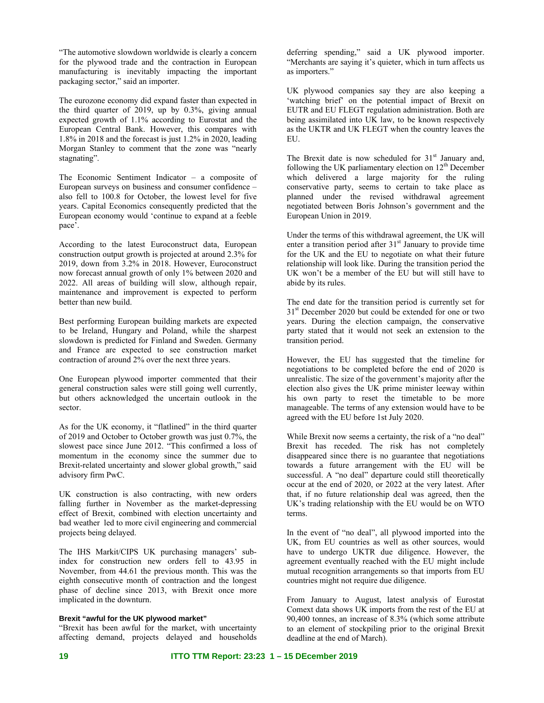"The automotive slowdown worldwide is clearly a concern for the plywood trade and the contraction in European manufacturing is inevitably impacting the important packaging sector," said an importer.

The eurozone economy did expand faster than expected in the third quarter of 2019, up by 0.3%, giving annual expected growth of 1.1% according to Eurostat and the European Central Bank. However, this compares with 1.8% in 2018 and the forecast is just 1.2% in 2020, leading Morgan Stanley to comment that the zone was "nearly stagnating".

The Economic Sentiment Indicator – a composite of European surveys on business and consumer confidence – also fell to 100.8 for October, the lowest level for five years. Capital Economics consequently predicted that the European economy would 'continue to expand at a feeble pace'.

According to the latest Euroconstruct data, European construction output growth is projected at around 2.3% for 2019, down from 3.2% in 2018. However, Euroconstruct now forecast annual growth of only 1% between 2020 and 2022. All areas of building will slow, although repair, maintenance and improvement is expected to perform better than new build.

Best performing European building markets are expected to be Ireland, Hungary and Poland, while the sharpest slowdown is predicted for Finland and Sweden. Germany and France are expected to see construction market contraction of around 2% over the next three years.

One European plywood importer commented that their general construction sales were still going well currently, but others acknowledged the uncertain outlook in the sector.

As for the UK economy, it "flatlined" in the third quarter of 2019 and October to October growth was just 0.7%, the slowest pace since June 2012. "This confirmed a loss of momentum in the economy since the summer due to Brexit-related uncertainty and slower global growth," said advisory firm PwC.

UK construction is also contracting, with new orders falling further in November as the market-depressing effect of Brexit, combined with election uncertainty and bad weather led to more civil engineering and commercial projects being delayed.

The IHS Markit/CIPS UK purchasing managers' subindex for construction new orders fell to 43.95 in November, from 44.61 the previous month. This was the eighth consecutive month of contraction and the longest phase of decline since 2013, with Brexit once more implicated in the downturn.

#### **Brexit "awful for the UK plywood market"**

"Brexit has been awful for the market, with uncertainty affecting demand, projects delayed and households deferring spending," said a UK plywood importer. "Merchants are saying it's quieter, which in turn affects us as importers."

UK plywood companies say they are also keeping a 'watching brief' on the potential impact of Brexit on EUTR and EU FLEGT regulation administration. Both are being assimilated into UK law, to be known respectively as the UKTR and UK FLEGT when the country leaves the EU.

The Brexit date is now scheduled for  $31<sup>st</sup>$  January and, following the UK parliamentary election on  $12<sup>th</sup>$  December which delivered a large majority for the ruling conservative party, seems to certain to take place as planned under the revised withdrawal agreement negotiated between Boris Johnson's government and the European Union in 2019.

Under the terms of this withdrawal agreement, the UK will enter a transition period after 31<sup>st</sup> January to provide time for the UK and the EU to negotiate on what their future relationship will look like. During the transition period the UK won't be a member of the EU but will still have to abide by its rules.

The end date for the transition period is currently set for  $31<sup>st</sup>$  December 2020 but could be extended for one or two years. During the election campaign, the conservative party stated that it would not seek an extension to the transition period.

However, the EU has suggested that the timeline for negotiations to be completed before the end of 2020 is unrealistic. The size of the government's majority after the election also gives the UK prime minister leeway within his own party to reset the timetable to be more manageable. The terms of any extension would have to be agreed with the EU before 1st July 2020.

While Brexit now seems a certainty, the risk of a "no deal" Brexit has receded. The risk has not completely disappeared since there is no guarantee that negotiations towards a future arrangement with the EU will be successful. A "no deal" departure could still theoretically occur at the end of 2020, or 2022 at the very latest. After that, if no future relationship deal was agreed, then the UK's trading relationship with the EU would be on WTO terms.

In the event of "no deal", all plywood imported into the UK, from EU countries as well as other sources, would have to undergo UKTR due diligence. However, the agreement eventually reached with the EU might include mutual recognition arrangements so that imports from EU countries might not require due diligence.

From January to August, latest analysis of Eurostat Comext data shows UK imports from the rest of the EU at 90,400 tonnes, an increase of 8.3% (which some attribute to an element of stockpiling prior to the original Brexit deadline at the end of March).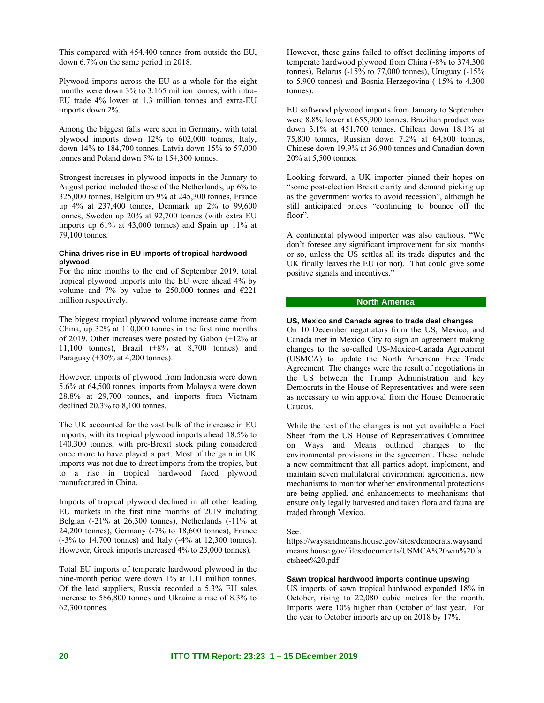This compared with 454,400 tonnes from outside the EU, down 6.7% on the same period in 2018.

Plywood imports across the EU as a whole for the eight months were down 3% to 3.165 million tonnes, with intra-EU trade 4% lower at 1.3 million tonnes and extra-EU imports down 2%.

Among the biggest falls were seen in Germany, with total plywood imports down 12% to 602,000 tonnes, Italy, down 14% to 184,700 tonnes, Latvia down 15% to 57,000 tonnes and Poland down 5% to 154,300 tonnes.

Strongest increases in plywood imports in the January to August period included those of the Netherlands, up 6% to 325,000 tonnes, Belgium up 9% at 245,300 tonnes, France up 4% at 237,400 tonnes, Denmark up 2% to 99,600 tonnes, Sweden up 20% at 92,700 tonnes (with extra EU imports up 61% at 43,000 tonnes) and Spain up 11% at 79,100 tonnes.

#### **China drives rise in EU imports of tropical hardwood plywood**

For the nine months to the end of September 2019, total tropical plywood imports into the EU were ahead 4% by volume and 7% by value to 250,000 tonnes and  $E221$ million respectively.

The biggest tropical plywood volume increase came from China, up 32% at 110,000 tonnes in the first nine months of 2019. Other increases were posted by Gabon (+12% at 11,100 tonnes), Brazil  $(+8\%$  at 8,700 tonnes) and Paraguay (+30% at 4,200 tonnes).

However, imports of plywood from Indonesia were down 5.6% at 64,500 tonnes, imports from Malaysia were down 28.8% at 29,700 tonnes, and imports from Vietnam declined 20.3% to 8,100 tonnes.

The UK accounted for the vast bulk of the increase in EU imports, with its tropical plywood imports ahead 18.5% to 140,300 tonnes, with pre-Brexit stock piling considered once more to have played a part. Most of the gain in UK imports was not due to direct imports from the tropics, but to a rise in tropical hardwood faced plywood manufactured in China.

Imports of tropical plywood declined in all other leading EU markets in the first nine months of 2019 including Belgian (-21% at 26,300 tonnes), Netherlands (-11% at 24,200 tonnes), Germany (-7% to 18,600 tonnes), France (-3% to 14,700 tonnes) and Italy (-4% at 12,300 tonnes). However, Greek imports increased 4% to 23,000 tonnes).

Total EU imports of temperate hardwood plywood in the nine-month period were down 1% at 1.11 million tonnes. Of the lead suppliers, Russia recorded a 5.3% EU sales increase to 586,800 tonnes and Ukraine a rise of 8.3% to 62,300 tonnes.

However, these gains failed to offset declining imports of temperate hardwood plywood from China (-8% to 374,300 tonnes), Belarus (-15% to 77,000 tonnes), Uruguay (-15% to 5,900 tonnes) and Bosnia-Herzegovina (-15% to 4,300 tonnes).

EU softwood plywood imports from January to September were 8.8% lower at 655,900 tonnes. Brazilian product was down 3.1% at 451,700 tonnes, Chilean down 18.1% at 75,800 tonnes, Russian down 7.2% at 64,800 tonnes, Chinese down 19.9% at 36,900 tonnes and Canadian down 20% at 5,500 tonnes.

Looking forward, a UK importer pinned their hopes on "some post-election Brexit clarity and demand picking up as the government works to avoid recession", although he still anticipated prices "continuing to bounce off the floor".

A continental plywood importer was also cautious. "We don't foresee any significant improvement for six months or so, unless the US settles all its trade disputes and the UK finally leaves the EU (or not). That could give some positive signals and incentives."

### **North America**

### **US, Mexico and Canada agree to trade deal changes**

On 10 December negotiators from the US, Mexico, and Canada met in Mexico City to sign an agreement making changes to the so-called US-Mexico-Canada Agreement (USMCA) to update the North American Free Trade Agreement. The changes were the result of negotiations in the US between the Trump Administration and key Democrats in the House of Representatives and were seen as necessary to win approval from the House Democratic Caucus.

While the text of the changes is not yet available a Fact Sheet from the US House of Representatives Committee on Ways and Means outlined changes to the environmental provisions in the agreement. These include a new commitment that all parties adopt, implement, and maintain seven multilateral environment agreements, new mechanisms to monitor whether environmental protections are being applied, and enhancements to mechanisms that ensure only legally harvested and taken flora and fauna are traded through Mexico.

#### See:

https://waysandmeans.house.gov/sites/democrats.waysand means.house.gov/files/documents/USMCA%20win%20fa ctsheet%20.pdf

#### **Sawn tropical hardwood imports continue upswing**

US imports of sawn tropical hardwood expanded 18% in October, rising to 22,080 cubic metres for the month. Imports were 10% higher than October of last year. For the year to October imports are up on 2018 by 17%.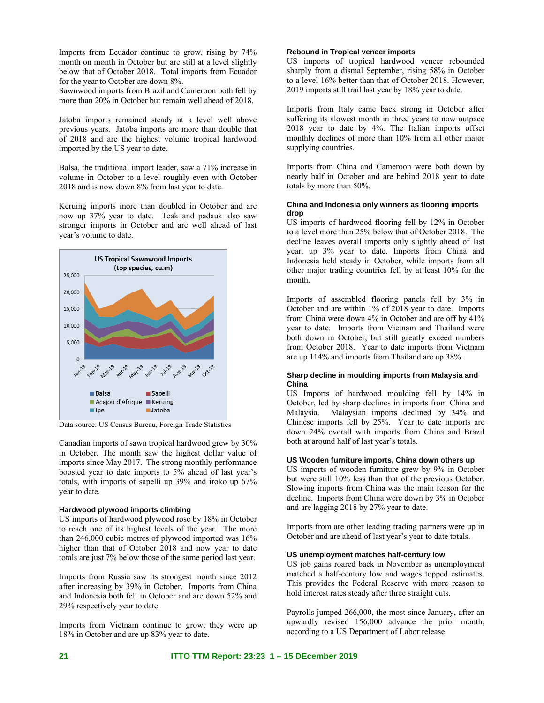Imports from Ecuador continue to grow, rising by 74% month on month in October but are still at a level slightly below that of October 2018. Total imports from Ecuador for the year to October are down 8%.

Sawnwood imports from Brazil and Cameroon both fell by more than 20% in October but remain well ahead of 2018.

Jatoba imports remained steady at a level well above previous years. Jatoba imports are more than double that of 2018 and are the highest volume tropical hardwood imported by the US year to date.

Balsa, the traditional import leader, saw a 71% increase in volume in October to a level roughly even with October 2018 and is now down 8% from last year to date.

Keruing imports more than doubled in October and are now up 37% year to date. Teak and padauk also saw stronger imports in October and are well ahead of last year's volume to date.



Data source: US Census Bureau, Foreign Trade Statistics

Canadian imports of sawn tropical hardwood grew by 30% in October. The month saw the highest dollar value of imports since May 2017. The strong monthly performance boosted year to date imports to 5% ahead of last year's totals, with imports of sapelli up 39% and iroko up 67% year to date.

#### **Hardwood plywood imports climbing**

US imports of hardwood plywood rose by 18% in October to reach one of its highest levels of the year. The more than 246,000 cubic metres of plywood imported was 16% higher than that of October 2018 and now year to date totals are just 7% below those of the same period last year.

Imports from Russia saw its strongest month since 2012 after increasing by 39% in October. Imports from China and Indonesia both fell in October and are down 52% and 29% respectively year to date.

Imports from Vietnam continue to grow; they were up 18% in October and are up 83% year to date.

### **Rebound in Tropical veneer imports**

US imports of tropical hardwood veneer rebounded sharply from a dismal September, rising 58% in October to a level 16% better than that of October 2018. However, 2019 imports still trail last year by 18% year to date.

Imports from Italy came back strong in October after suffering its slowest month in three years to now outpace 2018 year to date by 4%. The Italian imports offset monthly declines of more than 10% from all other major supplying countries.

Imports from China and Cameroon were both down by nearly half in October and are behind 2018 year to date totals by more than 50%.

### **China and Indonesia only winners as flooring imports drop**

US imports of hardwood flooring fell by 12% in October to a level more than 25% below that of October 2018. The decline leaves overall imports only slightly ahead of last year, up 3% year to date. Imports from China and Indonesia held steady in October, while imports from all other major trading countries fell by at least 10% for the month.

Imports of assembled flooring panels fell by 3% in October and are within 1% of 2018 year to date. Imports from China were down 4% in October and are off by 41% year to date. Imports from Vietnam and Thailand were both down in October, but still greatly exceed numbers from October 2018. Year to date imports from Vietnam are up 114% and imports from Thailand are up 38%.

### **Sharp decline in moulding imports from Malaysia and China**

US Imports of hardwood moulding fell by 14% in October, led by sharp declines in imports from China and Malaysia. Malaysian imports declined by 34% and Chinese imports fell by 25%. Year to date imports are down 24% overall with imports from China and Brazil both at around half of last year's totals.

#### **US Wooden furniture imports, China down others up**

US imports of wooden furniture grew by 9% in October but were still 10% less than that of the previous October. Slowing imports from China was the main reason for the decline. Imports from China were down by 3% in October and are lagging 2018 by 27% year to date.

Imports from are other leading trading partners were up in October and are ahead of last year's year to date totals.

#### **US unemployment matches half-century low**

US job gains roared back in November as unemployment matched a half-century low and wages topped estimates. This provides the Federal Reserve with more reason to hold interest rates steady after three straight cuts.

Payrolls jumped 266,000, the most since January, after an upwardly revised 156,000 advance the prior month, according to a US Department of Labor release.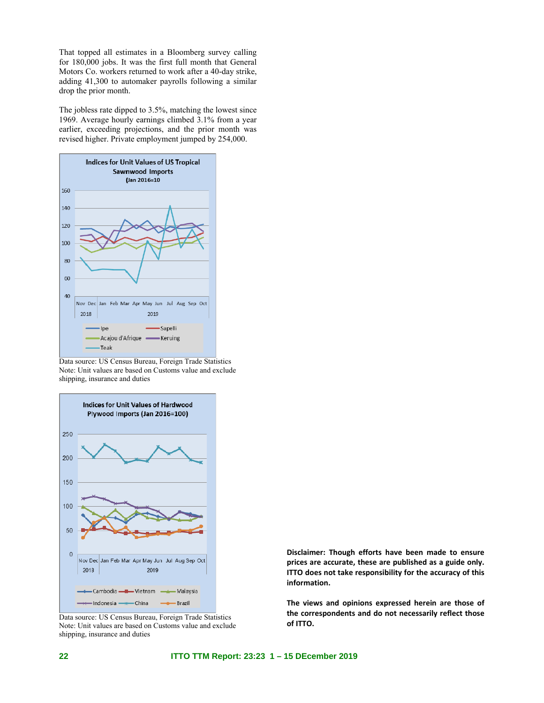That topped all estimates in a Bloomberg survey calling for 180,000 jobs. It was the first full month that General Motors Co. workers returned to work after a 40-day strike, adding 41,300 to automaker payrolls following a similar drop the prior month.

The jobless rate dipped to 3.5%, matching the lowest since 1969. Average hourly earnings climbed 3.1% from a year earlier, exceeding projections, and the prior month was revised higher. Private employment jumped by 254,000.



Data source: US Census Bureau, Foreign Trade Statistics Note: Unit values are based on Customs value and exclude shipping, insurance and duties



Data source: US Census Bureau, Foreign Trade Statistics Note: Unit values are based on Customs value and exclude shipping, insurance and duties

**Disclaimer: Though efforts have been made to ensure prices are accurate, these are published as a guide only. ITTO does not take responsibility for the accuracy of this information.** 

**The views and opinions expressed herein are those of the correspondents and do not necessarily reflect those of ITTO.**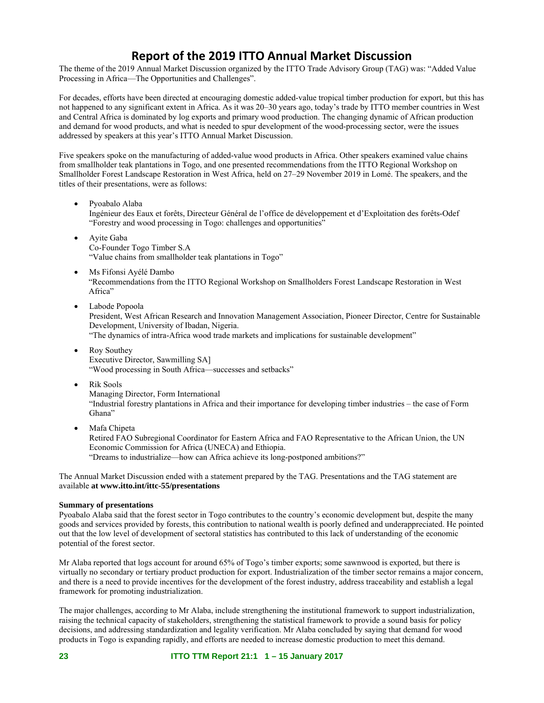## **Report of the 2019 ITTO Annual Market Discussion**

The theme of the 2019 Annual Market Discussion organized by the ITTO Trade Advisory Group (TAG) was: "Added Value Processing in Africa—The Opportunities and Challenges".

For decades, efforts have been directed at encouraging domestic added-value tropical timber production for export, but this has not happened to any significant extent in Africa. As it was 20–30 years ago, today's trade by ITTO member countries in West and Central Africa is dominated by log exports and primary wood production. The changing dynamic of African production and demand for wood products, and what is needed to spur development of the wood-processing sector, were the issues addressed by speakers at this year's ITTO Annual Market Discussion.

Five speakers spoke on the manufacturing of added-value wood products in Africa. Other speakers examined value chains from smallholder teak plantations in Togo, and one presented recommendations from the ITTO Regional Workshop on Smallholder Forest Landscape Restoration in West Africa, held on 27–29 November 2019 in Lomé. The speakers, and the titles of their presentations, were as follows:

- Pyoabalo Alaba Ingénieur des Eaux et forêts, Directeur Général de l'office de développement et d'Exploitation des forêts-Odef "Forestry and wood processing in Togo: challenges and opportunities"
- Ayite Gaba Co-Founder Togo Timber S.A "Value chains from smallholder teak plantations in Togo"
- Ms Fifonsi Ayélé Dambo "Recommendations from the ITTO Regional Workshop on Smallholders Forest Landscape Restoration in West Africa"
- Labode Popoola

President, West African Research and Innovation Management Association, Pioneer Director, Centre for Sustainable Development, University of Ibadan, Nigeria.

"The dynamics of intra-Africa wood trade markets and implications for sustainable development"

- Roy Southey Executive Director, Sawmilling SA] "Wood processing in South Africa—successes and setbacks"
- Rik Sools

Managing Director, Form International "Industrial forestry plantations in Africa and their importance for developing timber industries – the case of Form Ghana"

Mafa Chipeta

Retired FAO Subregional Coordinator for Eastern Africa and FAO Representative to the African Union, the UN Economic Commission for Africa (UNECA) and Ethiopia. "Dreams to industrialize—how can Africa achieve its long-postponed ambitions?"

The Annual Market Discussion ended with a statement prepared by the TAG. Presentations and the TAG statement are available **at www.itto.int/ittc-55/presentations**

### **Summary of presentations**

Pyoabalo Alaba said that the forest sector in Togo contributes to the country's economic development but, despite the many goods and services provided by forests, this contribution to national wealth is poorly defined and underappreciated. He pointed out that the low level of development of sectoral statistics has contributed to this lack of understanding of the economic potential of the forest sector.

Mr Alaba reported that logs account for around 65% of Togo's timber exports; some sawnwood is exported, but there is virtually no secondary or tertiary product production for export. Industrialization of the timber sector remains a major concern, and there is a need to provide incentives for the development of the forest industry, address traceability and establish a legal framework for promoting industrialization.

The major challenges, according to Mr Alaba, include strengthening the institutional framework to support industrialization, raising the technical capacity of stakeholders, strengthening the statistical framework to provide a sound basis for policy decisions, and addressing standardization and legality verification. Mr Alaba concluded by saying that demand for wood products in Togo is expanding rapidly, and efforts are needed to increase domestic production to meet this demand.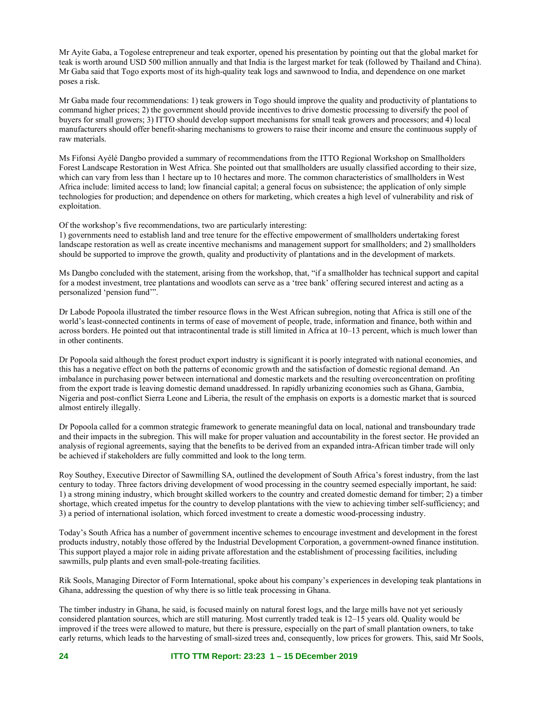Mr Ayite Gaba, a Togolese entrepreneur and teak exporter, opened his presentation by pointing out that the global market for teak is worth around USD 500 million annually and that India is the largest market for teak (followed by Thailand and China). Mr Gaba said that Togo exports most of its high-quality teak logs and sawnwood to India, and dependence on one market poses a risk.

Mr Gaba made four recommendations: 1) teak growers in Togo should improve the quality and productivity of plantations to command higher prices; 2) the government should provide incentives to drive domestic processing to diversify the pool of buyers for small growers; 3) ITTO should develop support mechanisms for small teak growers and processors; and 4) local manufacturers should offer benefit-sharing mechanisms to growers to raise their income and ensure the continuous supply of raw materials.

Ms Fifonsi Ayélé Dangbo provided a summary of recommendations from the ITTO Regional Workshop on Smallholders Forest Landscape Restoration in West Africa. She pointed out that smallholders are usually classified according to their size, which can vary from less than 1 hectare up to 10 hectares and more. The common characteristics of smallholders in West Africa include: limited access to land; low financial capital; a general focus on subsistence; the application of only simple technologies for production; and dependence on others for marketing, which creates a high level of vulnerability and risk of exploitation.

Of the workshop's five recommendations, two are particularly interesting:

1) governments need to establish land and tree tenure for the effective empowerment of smallholders undertaking forest landscape restoration as well as create incentive mechanisms and management support for smallholders; and 2) smallholders should be supported to improve the growth, quality and productivity of plantations and in the development of markets.

Ms Dangbo concluded with the statement, arising from the workshop, that, "if a smallholder has technical support and capital for a modest investment, tree plantations and woodlots can serve as a 'tree bank' offering secured interest and acting as a personalized 'pension fund'".

Dr Labode Popoola illustrated the timber resource flows in the West African subregion, noting that Africa is still one of the world's least-connected continents in terms of ease of movement of people, trade, information and finance, both within and across borders. He pointed out that intracontinental trade is still limited in Africa at 10–13 percent, which is much lower than in other continents.

Dr Popoola said although the forest product export industry is significant it is poorly integrated with national economies, and this has a negative effect on both the patterns of economic growth and the satisfaction of domestic regional demand. An imbalance in purchasing power between international and domestic markets and the resulting overconcentration on profiting from the export trade is leaving domestic demand unaddressed. In rapidly urbanizing economies such as Ghana, Gambia, Nigeria and post-conflict Sierra Leone and Liberia, the result of the emphasis on exports is a domestic market that is sourced almost entirely illegally.

Dr Popoola called for a common strategic framework to generate meaningful data on local, national and transboundary trade and their impacts in the subregion. This will make for proper valuation and accountability in the forest sector. He provided an analysis of regional agreements, saying that the benefits to be derived from an expanded intra-African timber trade will only be achieved if stakeholders are fully committed and look to the long term.

Roy Southey, Executive Director of Sawmilling SA, outlined the development of South Africa's forest industry, from the last century to today. Three factors driving development of wood processing in the country seemed especially important, he said: 1) a strong mining industry, which brought skilled workers to the country and created domestic demand for timber; 2) a timber shortage, which created impetus for the country to develop plantations with the view to achieving timber self-sufficiency; and 3) a period of international isolation, which forced investment to create a domestic wood-processing industry.

Today's South Africa has a number of government incentive schemes to encourage investment and development in the forest products industry, notably those offered by the Industrial Development Corporation, a government-owned finance institution. This support played a major role in aiding private afforestation and the establishment of processing facilities, including sawmills, pulp plants and even small-pole-treating facilities.

Rik Sools, Managing Director of Form International, spoke about his company's experiences in developing teak plantations in Ghana, addressing the question of why there is so little teak processing in Ghana.

The timber industry in Ghana, he said, is focused mainly on natural forest logs, and the large mills have not yet seriously considered plantation sources, which are still maturing. Most currently traded teak is 12–15 years old. Quality would be improved if the trees were allowed to mature, but there is pressure, especially on the part of small plantation owners, to take early returns, which leads to the harvesting of small-sized trees and, consequently, low prices for growers. This, said Mr Sools,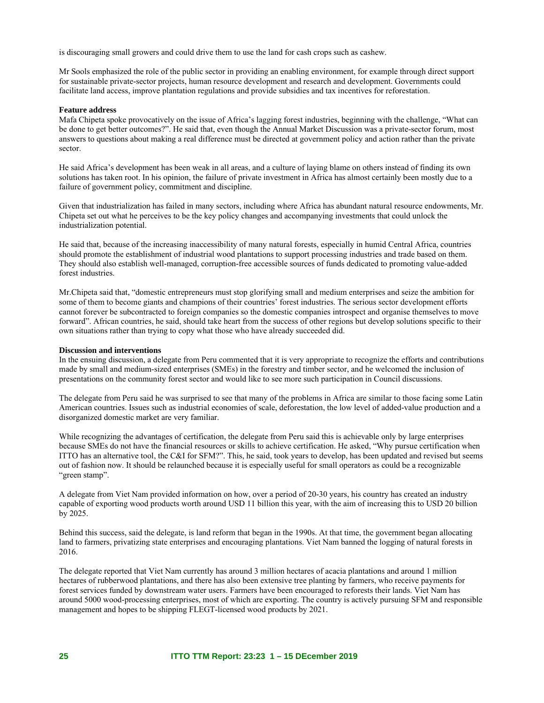is discouraging small growers and could drive them to use the land for cash crops such as cashew.

Mr Sools emphasized the role of the public sector in providing an enabling environment, for example through direct support for sustainable private-sector projects, human resource development and research and development. Governments could facilitate land access, improve plantation regulations and provide subsidies and tax incentives for reforestation.

### **Feature address**

Mafa Chipeta spoke provocatively on the issue of Africa's lagging forest industries, beginning with the challenge, "What can be done to get better outcomes?". He said that, even though the Annual Market Discussion was a private-sector forum, most answers to questions about making a real difference must be directed at government policy and action rather than the private sector.

He said Africa's development has been weak in all areas, and a culture of laying blame on others instead of finding its own solutions has taken root. In his opinion, the failure of private investment in Africa has almost certainly been mostly due to a failure of government policy, commitment and discipline.

Given that industrialization has failed in many sectors, including where Africa has abundant natural resource endowments, Mr. Chipeta set out what he perceives to be the key policy changes and accompanying investments that could unlock the industrialization potential.

He said that, because of the increasing inaccessibility of many natural forests, especially in humid Central Africa, countries should promote the establishment of industrial wood plantations to support processing industries and trade based on them. They should also establish well-managed, corruption-free accessible sources of funds dedicated to promoting value-added forest industries.

Mr.Chipeta said that, "domestic entrepreneurs must stop glorifying small and medium enterprises and seize the ambition for some of them to become giants and champions of their countries' forest industries. The serious sector development efforts cannot forever be subcontracted to foreign companies so the domestic companies introspect and organise themselves to move forward". African countries, he said, should take heart from the success of other regions but develop solutions specific to their own situations rather than trying to copy what those who have already succeeded did.

#### **Discussion and interventions**

In the ensuing discussion, a delegate from Peru commented that it is very appropriate to recognize the efforts and contributions made by small and medium-sized enterprises (SMEs) in the forestry and timber sector, and he welcomed the inclusion of presentations on the community forest sector and would like to see more such participation in Council discussions.

The delegate from Peru said he was surprised to see that many of the problems in Africa are similar to those facing some Latin American countries. Issues such as industrial economies of scale, deforestation, the low level of added-value production and a disorganized domestic market are very familiar.

While recognizing the advantages of certification, the delegate from Peru said this is achievable only by large enterprises because SMEs do not have the financial resources or skills to achieve certification. He asked, "Why pursue certification when ITTO has an alternative tool, the C&I for SFM?". This, he said, took years to develop, has been updated and revised but seems out of fashion now. It should be relaunched because it is especially useful for small operators as could be a recognizable "green stamp".

A delegate from Viet Nam provided information on how, over a period of 20-30 years, his country has created an industry capable of exporting wood products worth around USD 11 billion this year, with the aim of increasing this to USD 20 billion by 2025.

Behind this success, said the delegate, is land reform that began in the 1990s. At that time, the government began allocating land to farmers, privatizing state enterprises and encouraging plantations. Viet Nam banned the logging of natural forests in 2016.

The delegate reported that Viet Nam currently has around 3 million hectares of acacia plantations and around 1 million hectares of rubberwood plantations, and there has also been extensive tree planting by farmers, who receive payments for forest services funded by downstream water users. Farmers have been encouraged to reforests their lands. Viet Nam has around 5000 wood-processing enterprises, most of which are exporting. The country is actively pursuing SFM and responsible management and hopes to be shipping FLEGT-licensed wood products by 2021.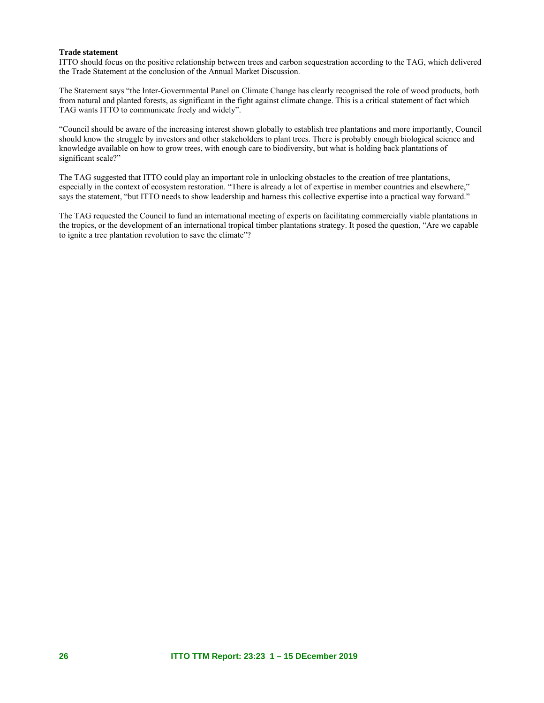### **Trade statement**

ITTO should focus on the positive relationship between trees and carbon sequestration according to the TAG, which delivered the Trade Statement at the conclusion of the Annual Market Discussion.

The Statement says "the Inter-Governmental Panel on Climate Change has clearly recognised the role of wood products, both from natural and planted forests, as significant in the fight against climate change. This is a critical statement of fact which TAG wants ITTO to communicate freely and widely".

"Council should be aware of the increasing interest shown globally to establish tree plantations and more importantly, Council should know the struggle by investors and other stakeholders to plant trees. There is probably enough biological science and knowledge available on how to grow trees, with enough care to biodiversity, but what is holding back plantations of significant scale?"

The TAG suggested that ITTO could play an important role in unlocking obstacles to the creation of tree plantations, especially in the context of ecosystem restoration. "There is already a lot of expertise in member countries and elsewhere," says the statement, "but ITTO needs to show leadership and harness this collective expertise into a practical way forward."

The TAG requested the Council to fund an international meeting of experts on facilitating commercially viable plantations in the tropics, or the development of an international tropical timber plantations strategy. It posed the question, "Are we capable to ignite a tree plantation revolution to save the climate"?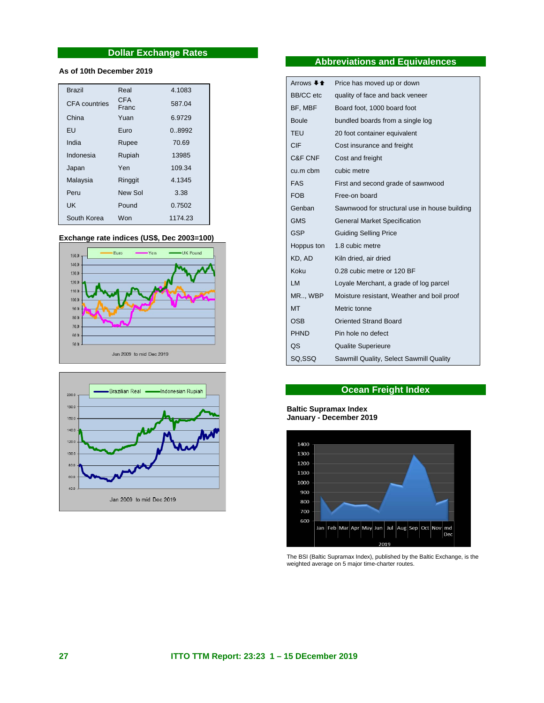### **Dollar Exchange Rates**

### **As of 10th December 2019**

| <b>Brazil</b>        | Real                | 4.1083  |
|----------------------|---------------------|---------|
| <b>CFA</b> countries | <b>CFA</b><br>Franc | 587.04  |
| China                | Yuan                | 6.9729  |
| EU                   | Furo                | 0.8992  |
| India                | Rupee               | 70.69   |
| Indonesia            | Rupiah              | 13985   |
| Japan                | Yen                 | 109.34  |
| Malaysia             | Ringgit             | 4.1345  |
| Peru                 | New Sol             | 3.38    |
| UK                   | Pound               | 0.7502  |
| South Korea          | Won                 | 1174.23 |

#### **Exchange rate indices (US\$, Dec 2003=100)**





### **Abbreviations and Equivalences**

| Arrows $\bigstar$ $\bigstar$ | Price has moved up or down                    |
|------------------------------|-----------------------------------------------|
| <b>BB/CC</b> etc             | quality of face and back veneer               |
| BF, MBF                      | Board foot, 1000 board foot                   |
| Boule                        | bundled boards from a single log              |
| <b>TEU</b>                   | 20 foot container equivalent                  |
| CIF                          | Cost insurance and freight                    |
| C&F CNF                      | Cost and freight                              |
| cu.m cbm                     | cubic metre                                   |
| <b>FAS</b>                   | First and second grade of sawnwood            |
| <b>FOB</b>                   | Free-on board                                 |
| Genban                       | Sawnwood for structural use in house building |
| <b>GMS</b>                   | <b>General Market Specification</b>           |
| <b>GSP</b>                   | <b>Guiding Selling Price</b>                  |
| Hoppus ton                   | 1.8 cubic metre                               |
| KD, AD                       | Kiln dried, air dried                         |
| Koku                         | 0.28 cubic metre or 120 BF                    |
| LM                           | Loyale Merchant, a grade of log parcel        |
| MR, WBP                      | Moisture resistant, Weather and boil proof    |
| <b>MT</b>                    | Metric tonne                                  |
| <b>OSB</b>                   | <b>Oriented Strand Board</b>                  |
| <b>PHND</b>                  | Pin hole no defect                            |
| ΟS                           | <b>Qualite Superieure</b>                     |
| SQ.SSQ                       | Sawmill Quality, Select Sawmill Quality       |

### **Ocean Freight Index**

#### **Baltic Supramax Index January - December 2019**



The BSI (Baltic Supramax Index), published by the Baltic Exchange, is the weighted average on 5 major time-charter routes.